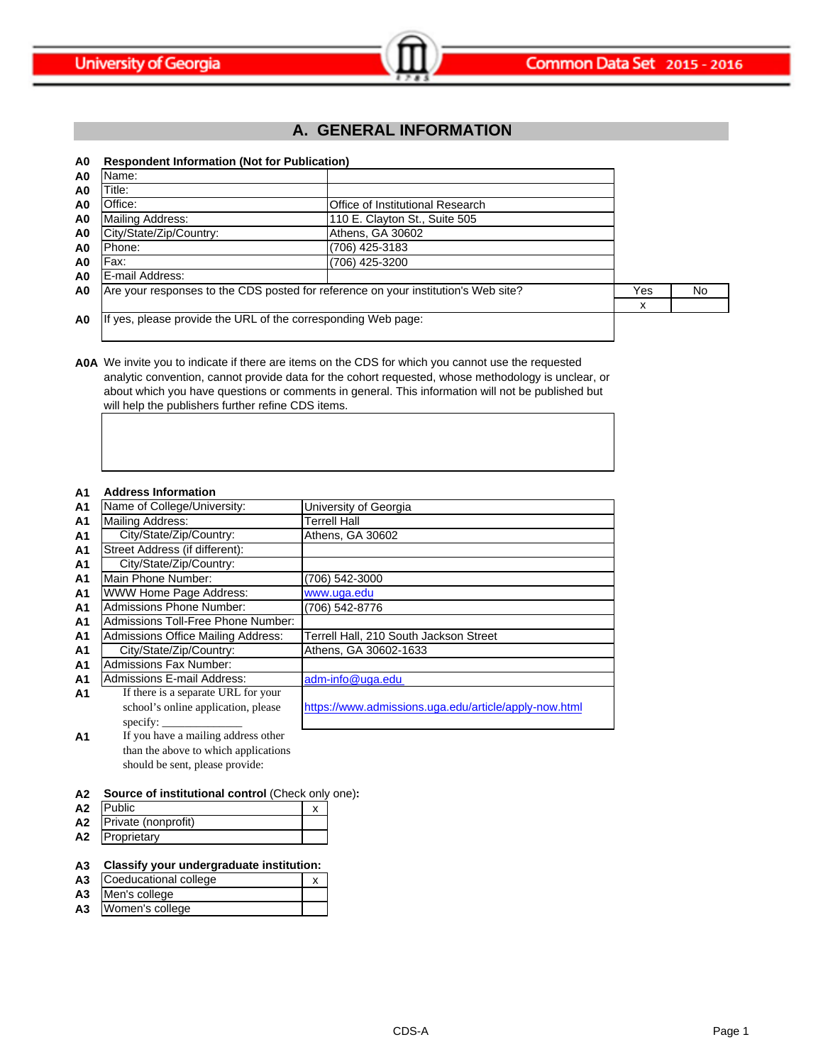

# **A. GENERAL INFORMATION**

### **A0 Respondent Information (Not for Publication)**

| A0             | Name:                                                                              |                                  |     |    |
|----------------|------------------------------------------------------------------------------------|----------------------------------|-----|----|
| A0             | Title:                                                                             |                                  |     |    |
| A0             | Office:                                                                            | Office of Institutional Research |     |    |
| A0             | <b>Mailing Address:</b>                                                            | 110 E. Clayton St., Suite 505    |     |    |
| A0             | City/State/Zip/Country:                                                            | Athens, GA 30602                 |     |    |
| A0             | Phone:                                                                             | (706) 425-3183                   |     |    |
| A0             | Fax:                                                                               | (706) 425-3200                   |     |    |
| A <sub>0</sub> | E-mail Address:                                                                    |                                  |     |    |
| A0             | Are your responses to the CDS posted for reference on your institution's Web site? |                                  | Yes | No |
|                |                                                                                    |                                  | х   |    |
| A0             | If yes, please provide the URL of the corresponding Web page:                      |                                  |     |    |

**A0A** We invite you to indicate if there are items on the CDS for which you cannot use the requested analytic convention, cannot provide data for the cohort requested, whose methodology is unclear, or about which you have questions or comments in general. This information will not be published but will help the publishers further refine CDS items.

#### **A1 Address Information**

| $\sim$         | Auuress Illionilauvil                     |                                                       |
|----------------|-------------------------------------------|-------------------------------------------------------|
| A <sub>1</sub> | Name of College/University:               | University of Georgia                                 |
| A <sub>1</sub> | <b>Mailing Address:</b>                   | <b>Terrell Hall</b>                                   |
| A <sub>1</sub> | City/State/Zip/Country:                   | Athens, GA 30602                                      |
| A <sub>1</sub> | Street Address (if different):            |                                                       |
| A <sub>1</sub> | City/State/Zip/Country:                   |                                                       |
| A <sub>1</sub> | Main Phone Number:                        | (706) 542-3000                                        |
| A <sub>1</sub> | <b>WWW Home Page Address:</b>             | www.uga.edu                                           |
| A <sub>1</sub> | <b>Admissions Phone Number:</b>           | (706) 542-8776                                        |
| A <sub>1</sub> | Admissions Toll-Free Phone Number:        |                                                       |
| A <sub>1</sub> | <b>Admissions Office Mailing Address:</b> | Terrell Hall, 210 South Jackson Street                |
| A <sub>1</sub> | City/State/Zip/Country:                   | Athens, GA 30602-1633                                 |
| A <sub>1</sub> | <b>Admissions Fax Number:</b>             |                                                       |
| A <sub>1</sub> | <b>Admissions E-mail Address:</b>         | adm-info@uga.edu                                      |
| A1             | If there is a separate URL for your       |                                                       |
|                | school's online application, please       | https://www.admissions.uga.edu/article/apply-now.html |
|                | specify:                                  |                                                       |
| AA             | If you have a mailing address other       |                                                       |

**A1** If you have a mailing address other than the above to which applications should be sent, please provide:

### **A2 Source of institutional control** (Check only one)**:**

| A2 | <b>Public</b>          |  |
|----|------------------------|--|
|    | A2 Private (nonprofit) |  |
| A2 | Proprietary            |  |

### **A3 Classify your undergraduate institution:**

- A3 Coeducational college x
- **A3** Men's college
- **A3** Women's college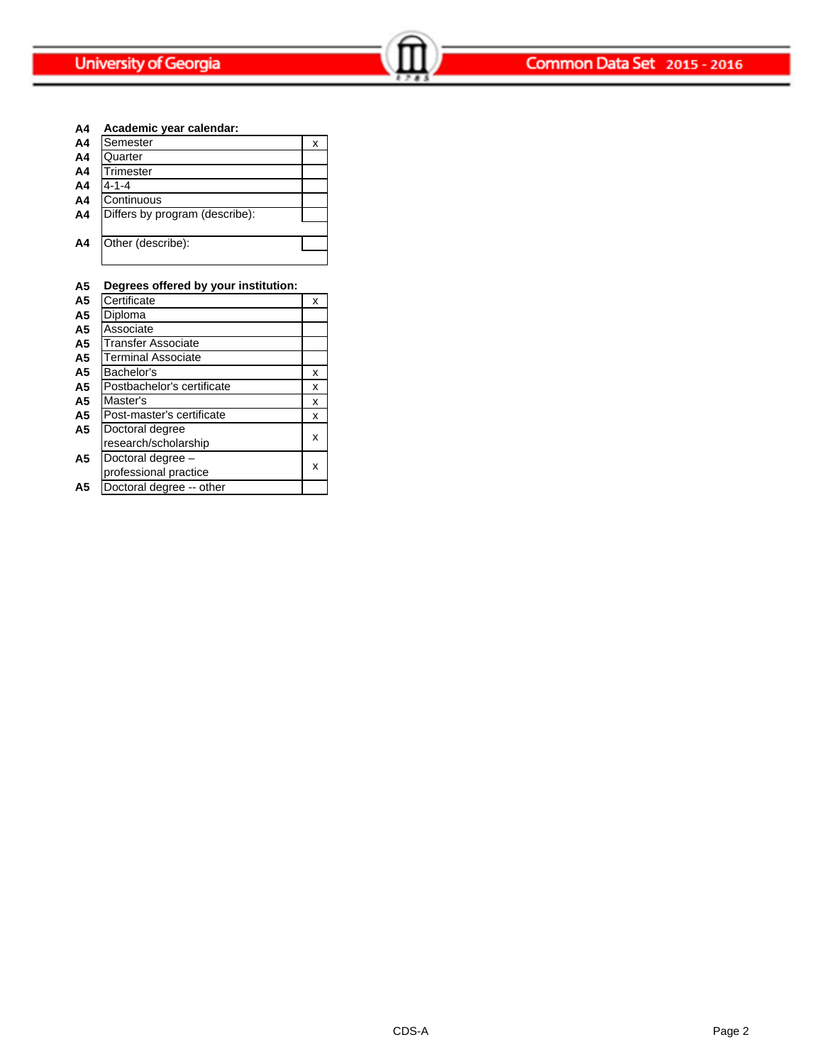**A4 Academic year calendar:**

| A4             | Semester                       | х |
|----------------|--------------------------------|---|
| A <sub>4</sub> | Quarter                        |   |
| A4             | Trimester                      |   |
| A4             | $4 - 1 - 4$                    |   |
| A <sub>4</sub> | Continuous                     |   |
| A <sub>4</sub> | Differs by program (describe): |   |
|                |                                |   |
| A4             | Other (describe):              |   |
|                |                                |   |

| Α5             | Degrees offered by your institution: |   |
|----------------|--------------------------------------|---|
| A <sub>5</sub> | Certificate                          | x |
| A <sub>5</sub> | Diploma                              |   |
| A5             | Associate                            |   |
| A5             | Transfer Associate                   |   |
| A5             | Terminal Associate                   |   |
| A <sub>5</sub> | Bachelor's                           | x |
| A5             | Postbachelor's certificate           | x |
| A5             | Master's                             | x |
| A5             | Post-master's certificate            | x |
| A5             | Doctoral degree                      |   |
|                | research/scholarship                 | x |
| A5             | Doctoral degree -                    |   |
|                | professional practice                | x |
| A5             | Doctoral degree -- other             |   |
|                |                                      |   |

# **A5 Degrees offered by your institution:**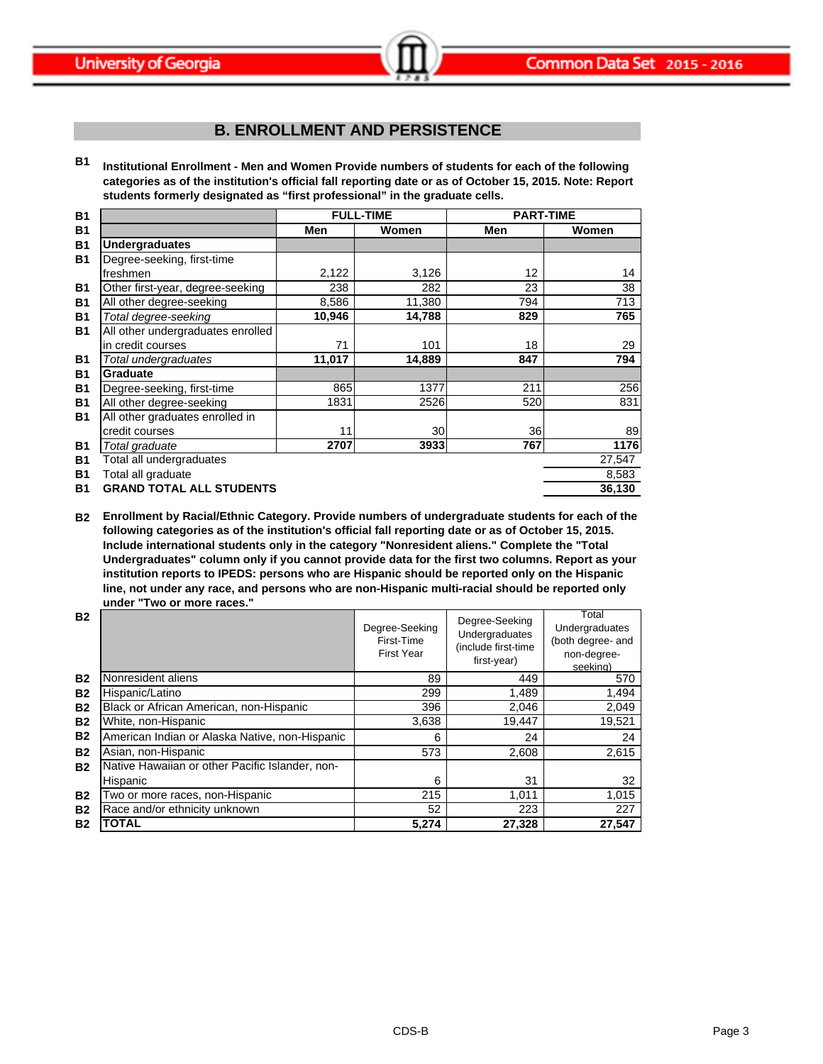# **B. ENROLLMENT AND PERSISTENCE**

**B1 Institutional Enrollment - Men and Women Provide numbers of students for each of the following categories as of the institution's official fall reporting date or as of October 15, 2015. Note: Report students formerly designated as "first professional" in the graduate cells.**

| <b>B1</b> | <b>FULL-TIME</b>                  |        | <b>PART-TIME</b> |     |        |
|-----------|-----------------------------------|--------|------------------|-----|--------|
| <b>B1</b> |                                   | Men    | Women            | Men | Women  |
| <b>B1</b> | <b>Undergraduates</b>             |        |                  |     |        |
| <b>B1</b> | Degree-seeking, first-time        |        |                  |     |        |
|           | freshmen                          | 2,122  | 3,126            | 12  | 14     |
| <b>B1</b> | Other first-year, degree-seeking  | 238    | 282              | 23  | 38     |
| <b>B1</b> | All other degree-seeking          | 8,586  | 11,380           | 794 | 713    |
| <b>B1</b> | Total degree-seeking              | 10,946 | 14,788           | 829 | 765    |
| <b>B1</b> | All other undergraduates enrolled |        |                  |     |        |
|           | in credit courses                 | 71     | 101              | 18  | 29     |
| <b>B1</b> | Total undergraduates              | 11,017 | 14,889           | 847 | 794    |
| <b>B1</b> | <b>Graduate</b>                   |        |                  |     |        |
| <b>B1</b> | Degree-seeking, first-time        | 865    | 1377             | 211 | 256    |
| <b>B1</b> | All other degree-seeking          | 1831   | 2526             | 520 | 831    |
| <b>B1</b> | All other graduates enrolled in   |        |                  |     |        |
|           | credit courses                    | 11     | 30               | 36  | 89     |
| <b>B1</b> | Total graduate                    | 2707   | 3933             | 767 | 1176   |
| <b>B1</b> | Total all undergraduates          |        |                  |     | 27,547 |
| <b>B1</b> | Total all graduate                |        |                  |     | 8,583  |
| <b>B1</b> | <b>GRAND TOTAL ALL STUDENTS</b>   |        |                  |     | 36,130 |

**B2 Enrollment by Racial/Ethnic Category. Provide numbers of undergraduate students for each of the following categories as of the institution's official fall reporting date or as of October 15, 2015. Include international students only in the category "Nonresident aliens." Complete the "Total Undergraduates" column only if you cannot provide data for the first two columns. Report as your institution reports to IPEDS: persons who are Hispanic should be reported only on the Hispanic line, not under any race, and persons who are non-Hispanic multi-racial should be reported only under "Two or more races."** 

| <b>B2</b> |                                                 | Degree-Seeking<br>First-Time<br>First Year | Degree-Seeking<br>Undergraduates<br>(include first-time<br>first-year) | Total<br>Undergraduates<br>(both degree- and<br>non-degree-<br>seeking) |
|-----------|-------------------------------------------------|--------------------------------------------|------------------------------------------------------------------------|-------------------------------------------------------------------------|
| <b>B2</b> | Nonresident aliens                              | 89                                         | 449                                                                    | 570                                                                     |
| <b>B2</b> | Hispanic/Latino                                 | 299                                        | 1,489                                                                  | 1,494                                                                   |
| <b>B2</b> | Black or African American, non-Hispanic         | 396                                        | 2,046                                                                  | 2,049                                                                   |
| <b>B2</b> | White, non-Hispanic                             | 3,638                                      | 19,447                                                                 | 19,521                                                                  |
| <b>B2</b> | American Indian or Alaska Native, non-Hispanic  | 6                                          | 24                                                                     | 24                                                                      |
| <b>B2</b> | Asian, non-Hispanic                             | 573                                        | 2,608                                                                  | 2,615                                                                   |
| <b>B2</b> | Native Hawaiian or other Pacific Islander, non- |                                            |                                                                        |                                                                         |
|           | Hispanic                                        | 6                                          | 31                                                                     | 32                                                                      |
| <b>B2</b> | Two or more races, non-Hispanic                 | 215                                        | 1,011                                                                  | 1,015                                                                   |
| <b>B2</b> | Race and/or ethnicity unknown                   | 52                                         | 223                                                                    | 227                                                                     |
| <b>B2</b> | <b>TOTAL</b>                                    | 5,274                                      | 27,328                                                                 | 27.547                                                                  |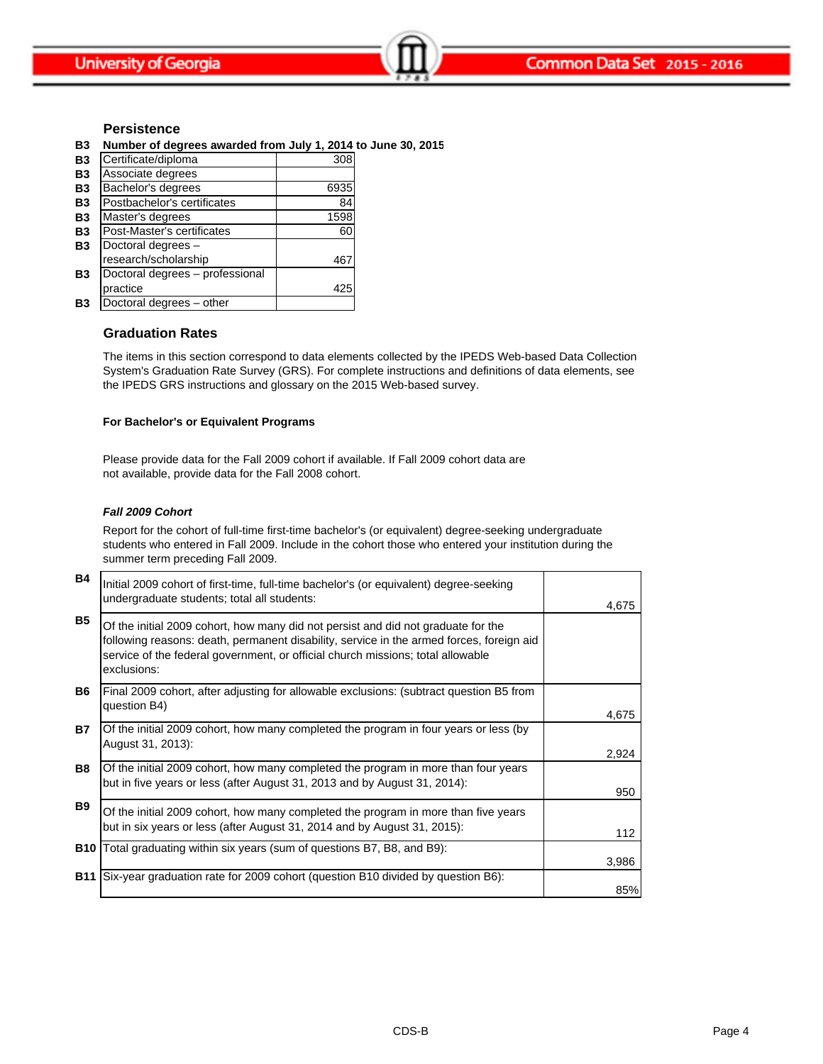### **Persistence**

**B3 Number of degrees awarded from July 1, 2014 to June 30, 2015**

| B3        | Certificate/diploma             | 308  |
|-----------|---------------------------------|------|
| <b>B3</b> | Associate degrees               |      |
| <b>B3</b> | Bachelor's degrees              | 6935 |
| <b>B3</b> | Postbachelor's certificates     | 84   |
| <b>B3</b> | Master's degrees                | 1598 |
| <b>B3</b> | Post-Master's certificates      | 60   |
| <b>B3</b> | Doctoral degrees -              |      |
|           | research/scholarship            | 46   |
| B3        | Doctoral degrees - professional |      |
|           | practice                        | 425  |
| B3        | Doctoral degrees - other        |      |

### **Graduation Rates**

The items in this section correspond to data elements collected by the IPEDS Web-based Data Collection System's Graduation Rate Survey (GRS). For complete instructions and definitions of data elements, see the IPEDS GRS instructions and glossary on the 2015 Web-based survey.

#### **For Bachelor's or Equivalent Programs**

Please provide data for the Fall 2009 cohort if available. If Fall 2009 cohort data are not available, provide data for the Fall 2008 cohort.

#### *Fall 2009 Cohort*

Report for the cohort of full-time first-time bachelor's (or equivalent) degree-seeking undergraduate students who entered in Fall 2009. Include in the cohort those who entered your institution during the summer term preceding Fall 2009.

| <b>B4</b>  | Initial 2009 cohort of first-time, full-time bachelor's (or equivalent) degree-seeking<br>undergraduate students; total all students:                                                                                                                                           | 4,675 |
|------------|---------------------------------------------------------------------------------------------------------------------------------------------------------------------------------------------------------------------------------------------------------------------------------|-------|
| <b>B5</b>  | Of the initial 2009 cohort, how many did not persist and did not graduate for the<br>following reasons: death, permanent disability, service in the armed forces, foreign aid<br>service of the federal government, or official church missions; total allowable<br>exclusions: |       |
| B6.        | Final 2009 cohort, after adjusting for allowable exclusions: (subtract question B5 from<br>question B4)                                                                                                                                                                         | 4,675 |
| <b>B7</b>  | Of the initial 2009 cohort, how many completed the program in four years or less (by<br>August 31, 2013):                                                                                                                                                                       | 2,924 |
| <b>B8</b>  | Of the initial 2009 cohort, how many completed the program in more than four years<br>but in five years or less (after August 31, 2013 and by August 31, 2014):                                                                                                                 | 950   |
| <b>B9</b>  | Of the initial 2009 cohort, how many completed the program in more than five years<br>but in six years or less (after August 31, 2014 and by August 31, 2015):                                                                                                                  | 112   |
|            | <b>B10</b> Total graduating within six years (sum of questions B7, B8, and B9):                                                                                                                                                                                                 | 3,986 |
| <b>B11</b> | Six-year graduation rate for 2009 cohort (question B10 divided by question B6):                                                                                                                                                                                                 | 85%   |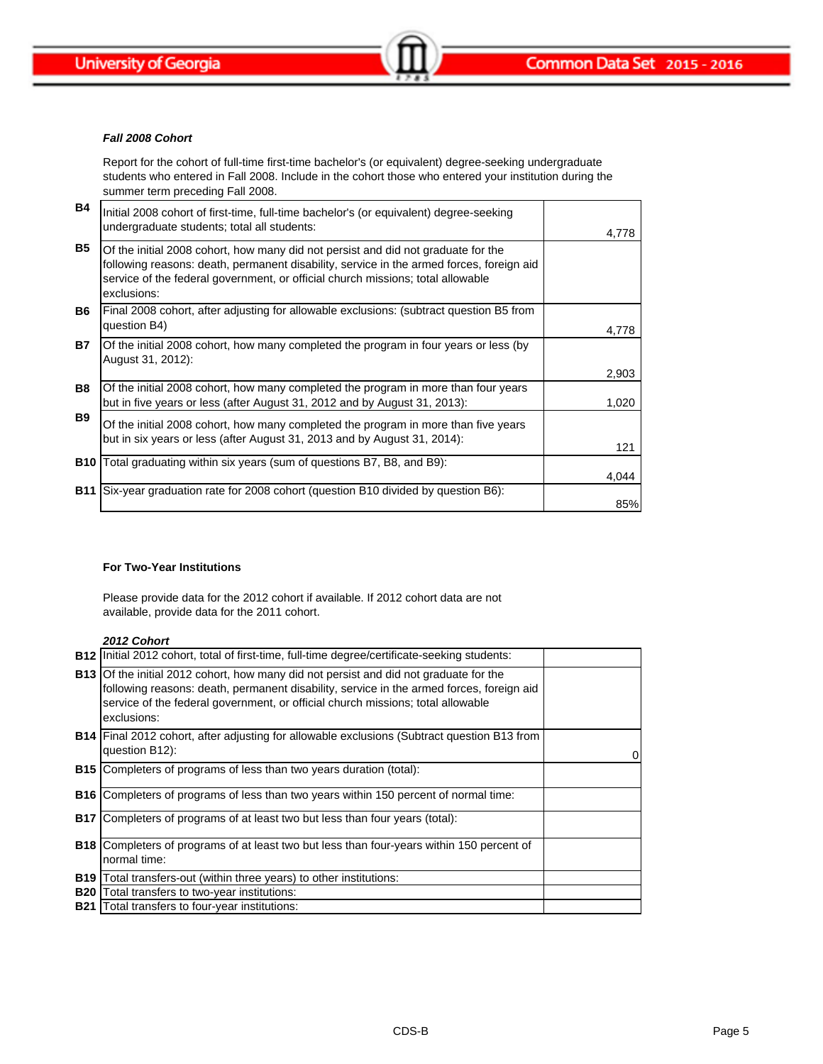

#### *Fall 2008 Cohort*

Report for the cohort of full-time first-time bachelor's (or equivalent) degree-seeking undergraduate students who entered in Fall 2008. Include in the cohort those who entered your institution during the summer term preceding Fall 2008.

| <b>B4</b>  | Initial 2008 cohort of first-time, full-time bachelor's (or equivalent) degree-seeking<br>undergraduate students; total all students:                                                                                                                                           | 4,778 |
|------------|---------------------------------------------------------------------------------------------------------------------------------------------------------------------------------------------------------------------------------------------------------------------------------|-------|
| <b>B5</b>  | Of the initial 2008 cohort, how many did not persist and did not graduate for the<br>following reasons: death, permanent disability, service in the armed forces, foreign aid<br>service of the federal government, or official church missions; total allowable<br>exclusions: |       |
| <b>B6</b>  | Final 2008 cohort, after adjusting for allowable exclusions: (subtract question B5 from<br>question B4)                                                                                                                                                                         | 4,778 |
| <b>B7</b>  | Of the initial 2008 cohort, how many completed the program in four years or less (by<br>August 31, 2012):                                                                                                                                                                       | 2,903 |
| <b>B8</b>  | Of the initial 2008 cohort, how many completed the program in more than four years<br>but in five years or less (after August 31, 2012 and by August 31, 2013):                                                                                                                 | 1,020 |
| <b>B</b> 9 | Of the initial 2008 cohort, how many completed the program in more than five years<br>but in six years or less (after August 31, 2013 and by August 31, 2014):                                                                                                                  | 121   |
|            | <b>B10</b> Total graduating within six years (sum of questions B7, B8, and B9):                                                                                                                                                                                                 | 4,044 |
| <b>B11</b> | Six-year graduation rate for 2008 cohort (question B10 divided by question B6):                                                                                                                                                                                                 | 85%   |

### **For Two-Year Institutions**

Please provide data for the 2012 cohort if available. If 2012 cohort data are not available, provide data for the 2011 cohort.

### *2012 Cohort*

|            | <b>B12</b> linitial 2012 cohort, total of first-time, full-time degree/certificate-seeking students:                                                                                                                                                                                       |   |
|------------|--------------------------------------------------------------------------------------------------------------------------------------------------------------------------------------------------------------------------------------------------------------------------------------------|---|
|            | <b>B13</b> Of the initial 2012 cohort, how many did not persist and did not graduate for the<br>following reasons: death, permanent disability, service in the armed forces, foreign aid<br>service of the federal government, or official church missions; total allowable<br>exclusions: |   |
|            | B14 Final 2012 cohort, after adjusting for allowable exclusions (Subtract question B13 from<br>question B12):                                                                                                                                                                              | 0 |
|            | <b>B15</b> Completers of programs of less than two years duration (total):                                                                                                                                                                                                                 |   |
| <b>B16</b> | Completers of programs of less than two years within 150 percent of normal time:                                                                                                                                                                                                           |   |
| <b>B17</b> | Completers of programs of at least two but less than four years (total):                                                                                                                                                                                                                   |   |
| <b>B18</b> | Completers of programs of at least two but less than four-years within 150 percent of<br>normal time:                                                                                                                                                                                      |   |
| <b>B19</b> | Total transfers-out (within three years) to other institutions:                                                                                                                                                                                                                            |   |
| <b>B20</b> | Total transfers to two-year institutions:                                                                                                                                                                                                                                                  |   |
|            | <b>B21</b> Total transfers to four-year institutions:                                                                                                                                                                                                                                      |   |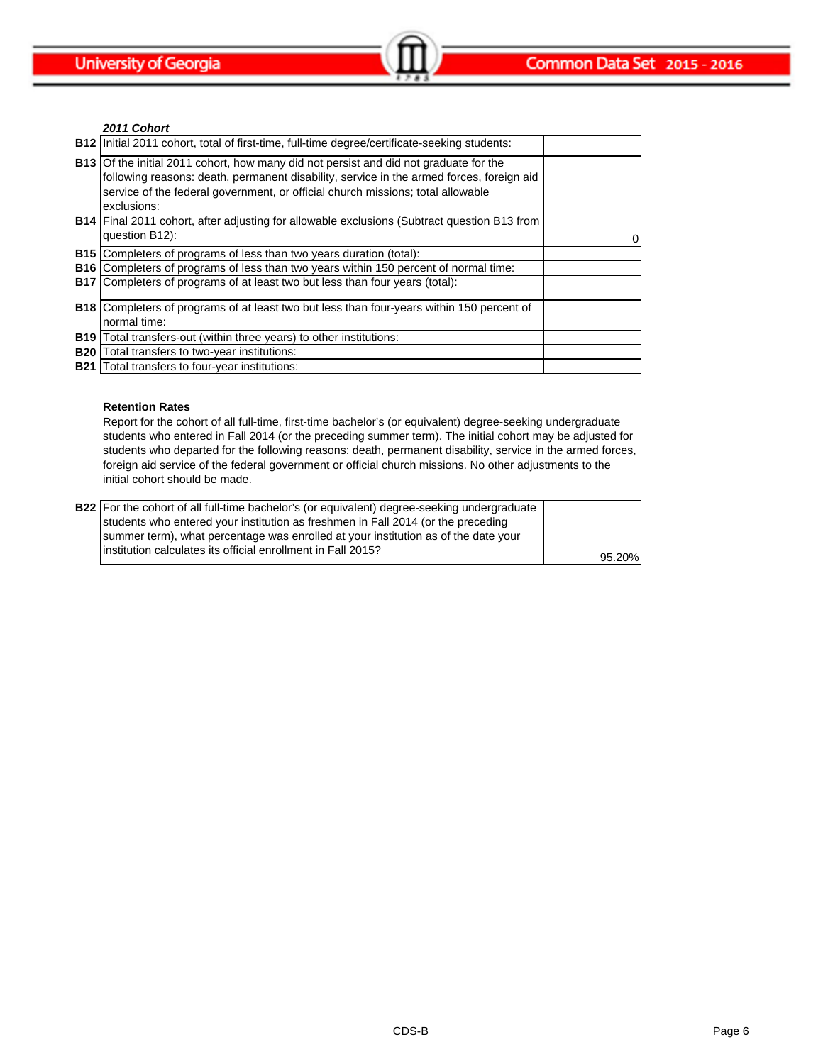*2011 Cohort*

| <b>B12</b> Initial 2011 cohort, total of first-time, full-time degree/certificate-seeking students:                                                                                                                                                                                        |   |
|--------------------------------------------------------------------------------------------------------------------------------------------------------------------------------------------------------------------------------------------------------------------------------------------|---|
| <b>B13</b> Of the initial 2011 cohort, how many did not persist and did not graduate for the<br>following reasons: death, permanent disability, service in the armed forces, foreign aid<br>service of the federal government, or official church missions; total allowable<br>exclusions: |   |
| <b>B14</b> Final 2011 cohort, after adjusting for allowable exclusions (Subtract question B13 from<br>question B12):                                                                                                                                                                       | 0 |
| <b>B15</b> Completers of programs of less than two years duration (total):                                                                                                                                                                                                                 |   |
| <b>B16</b> Completers of programs of less than two years within 150 percent of normal time:                                                                                                                                                                                                |   |
| <b>B17</b> Completers of programs of at least two but less than four years (total):                                                                                                                                                                                                        |   |
| <b>B18</b> Completers of programs of at least two but less than four-years within 150 percent of                                                                                                                                                                                           |   |
| normal time:                                                                                                                                                                                                                                                                               |   |
| <b>B19</b> Total transfers-out (within three years) to other institutions:                                                                                                                                                                                                                 |   |
| <b>B20</b> Total transfers to two-year institutions:                                                                                                                                                                                                                                       |   |
| <b>B21</b> Total transfers to four-year institutions:                                                                                                                                                                                                                                      |   |

### **Retention Rates**

Report for the cohort of all full-time, first-time bachelor's (or equivalent) degree-seeking undergraduate students who entered in Fall 2014 (or the preceding summer term). The initial cohort may be adjusted for students who departed for the following reasons: death, permanent disability, service in the armed forces, foreign aid service of the federal government or official church missions. No other adjustments to the initial cohort should be made.

| <b>B22</b> For the cohort of all full-time bachelor's (or equivalent) degree-seeking undergraduate |        |
|----------------------------------------------------------------------------------------------------|--------|
| students who entered your institution as freshmen in Fall 2014 (or the preceding                   |        |
| summer term), what percentage was enrolled at your institution as of the date your                 |        |
| linstitution calculates its official enrollment in Fall 2015?                                      | 95.20% |
|                                                                                                    |        |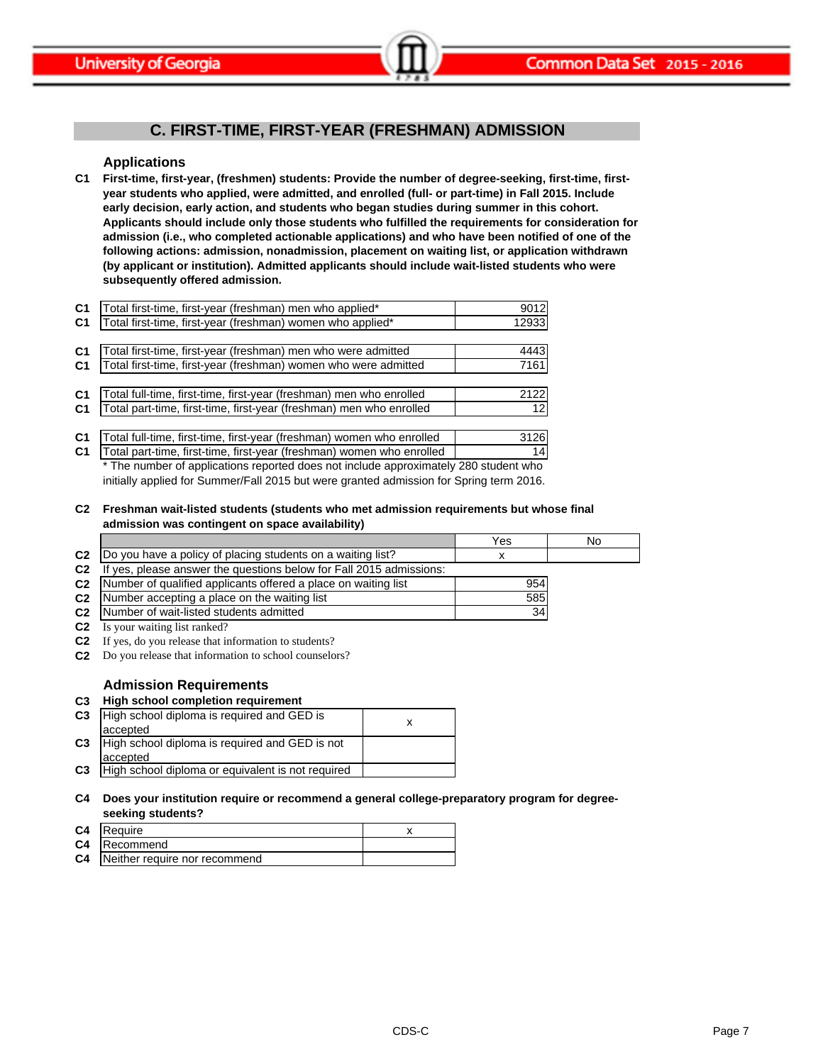

# **C. FIRST-TIME, FIRST-YEAR (FRESHMAN) ADMISSION**

### **Applications**

**C1 First-time, first-year, (freshmen) students: Provide the number of degree-seeking, first-time, firstyear students who applied, were admitted, and enrolled (full- or part-time) in Fall 2015. Include early decision, early action, and students who began studies during summer in this cohort. Applicants should include only those students who fulfilled the requirements for consideration for admission (i.e., who completed actionable applications) and who have been notified of one of the following actions: admission, nonadmission, placement on waiting list, or application withdrawn (by applicant or institution). Admitted applicants should include wait-listed students who were subsequently offered admission.**

| C <sub>1</sub> | Total first-time, first-year (freshman) men who applied*              | 9012  |
|----------------|-----------------------------------------------------------------------|-------|
| C <sub>1</sub> | Total first-time, first-year (freshman) women who applied*            | 12933 |
|                |                                                                       |       |
| C <sub>1</sub> | Total first-time, first-year (freshman) men who were admitted         | 4443  |
| C <sub>1</sub> | Total first-time, first-year (freshman) women who were admitted       | 7161  |
|                |                                                                       |       |
| C <sub>1</sub> | Total full-time, first-time, first-year (freshman) men who enrolled   | 2122  |
| C <sub>1</sub> | Total part-time, first-time, first-year (freshman) men who enrolled   | 121   |
|                |                                                                       |       |
| C <sub>1</sub> | Total full-time, first-time, first-year (freshman) women who enrolled | 3126  |
| $\sim$         | Total nart-time firet-time firet-year (freehman) women who enrolled   | 11    |

**C1** Total part-time, first-time, first-year (freshman) women who enrolled | 14 otal part-time, first-time, first-year (freshman) women who enrolled \* The number of applications reported does not include approximately 280 student who initially applied for Summer/Fall 2015 but were granted admission for Spring term 2016.

**C2 Freshman wait-listed students (students who met admission requirements but whose final admission was contingent on space availability)**

|                |                                                                     | Yes | No |
|----------------|---------------------------------------------------------------------|-----|----|
| C <sub>2</sub> | Do you have a policy of placing students on a waiting list?         |     |    |
| C <sub>2</sub> | If yes, please answer the questions below for Fall 2015 admissions: |     |    |
| C <sub>2</sub> | Number of qualified applicants offered a place on waiting list      | 954 |    |
| C <sub>2</sub> | Number accepting a place on the waiting list                        | 585 |    |
| C <sub>2</sub> | Number of wait-listed students admitted                             | 34  |    |
| C <sub>2</sub> | Is your waiting list ranked?                                        |     |    |

**C2** If yes, do you release that information to students?

**C2** Do you release that information to school counselors?

### **Admission Requirements**

### **C3 High school completion requirement**

| C <sub>3</sub> | High school diploma is required and GED is        |  |
|----------------|---------------------------------------------------|--|
|                | accepted                                          |  |
| C <sub>3</sub> | High school diploma is required and GED is not    |  |
|                | accepted                                          |  |
| C <sub>3</sub> | High school diploma or equivalent is not required |  |

#### **C4 Does your institution require or recommend a general college-preparatory program for degreeseeking students?**

| C4 | Require                                 |  |
|----|-----------------------------------------|--|
|    | <b>C4</b> Recommend                     |  |
|    | <b>C4</b> Neither require nor recommend |  |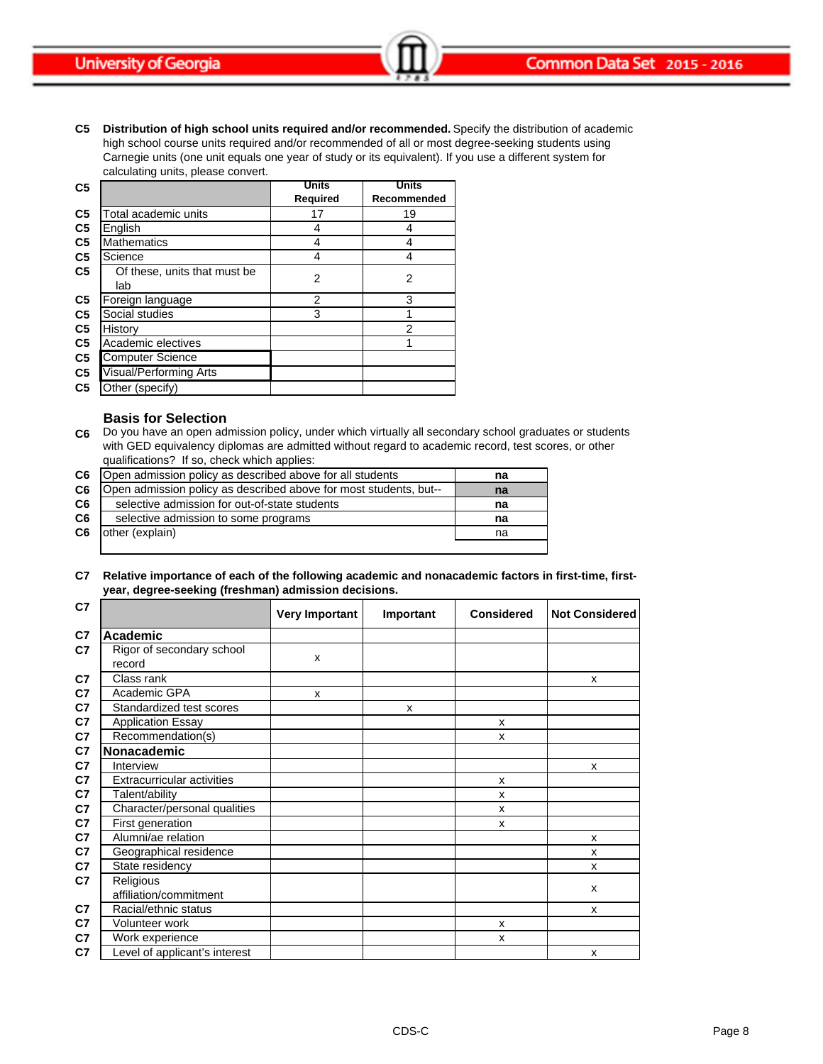**C5 Distribution of high school units required and/or recommended.** Specify the distribution of academic high school course units required and/or recommended of all or most degree-seeking students using Carnegie units (one unit equals one year of study or its equivalent). If you use a different system for calculating units, please convert.

| C <sub>5</sub> |                                     | <b>Units</b> | <b>Units</b>   |  |
|----------------|-------------------------------------|--------------|----------------|--|
|                |                                     | Required     | Recommended    |  |
| C <sub>5</sub> | Total academic units                | 17           | 19             |  |
| C <sub>5</sub> | English                             | 4            | 4              |  |
| C <sub>5</sub> | <b>Mathematics</b>                  | 4            | 4              |  |
| C <sub>5</sub> | Science                             | 4            | 4              |  |
| C <sub>5</sub> | Of these, units that must be<br>lab | 2            | $\overline{2}$ |  |
| C <sub>5</sub> | Foreign language                    | 2            | 3              |  |
| C <sub>5</sub> | Social studies                      | 3            |                |  |
| C <sub>5</sub> | History                             |              | 2              |  |
| C <sub>5</sub> | Academic electives                  |              |                |  |
| C <sub>5</sub> | <b>Computer Science</b>             |              |                |  |
| C <sub>5</sub> | Visual/Performing Arts              |              |                |  |
| C <sub>5</sub> | Other (specify)                     |              |                |  |

### **Basis for Selection**

**C6** Do you have an open admission policy, under which virtually all secondary school graduates or students with GED equivalency diplomas are admitted without regard to academic record, test scores, or other qualifications? If so, check which applies:

| C6             | Open admission policy as described above for all students         | na |
|----------------|-------------------------------------------------------------------|----|
| C6             | Open admission policy as described above for most students, but-- | na |
| C6             | selective admission for out-of-state students                     | na |
| C <sub>6</sub> | selective admission to some programs                              | na |
| C6             | other (explain)                                                   | na |
|                |                                                                   |    |

**C7 Relative importance of each of the following academic and nonacademic factors in first-time, firstyear, degree-seeking (freshman) admission decisions.**

| C <sub>7</sub> |                                     | <b>Very Important</b> | Important | <b>Considered</b> | <b>Not Considered</b> |
|----------------|-------------------------------------|-----------------------|-----------|-------------------|-----------------------|
| C7             | <b>Academic</b>                     |                       |           |                   |                       |
| C7             | Rigor of secondary school<br>record | X                     |           |                   |                       |
| C7             | Class rank                          |                       |           |                   | X                     |
| C7             | Academic GPA                        | X                     |           |                   |                       |
| C7             | Standardized test scores            |                       | X         |                   |                       |
| C7             | <b>Application Essay</b>            |                       |           | X                 |                       |
| C7             | Recommendation(s)                   |                       |           | X                 |                       |
| C7             | Nonacademic                         |                       |           |                   |                       |
| C7             | Interview                           |                       |           |                   | X                     |
| C7             | <b>Extracurricular activities</b>   |                       |           | X                 |                       |
| C7             | Talent/ability                      |                       |           | X                 |                       |
| C7             | Character/personal qualities        |                       |           | X                 |                       |
| C7             | First generation                    |                       |           | X                 |                       |
| C7             | Alumni/ae relation                  |                       |           |                   | X                     |
| C7             | Geographical residence              |                       |           |                   | X                     |
| C7             | State residency                     |                       |           |                   | X                     |
| C7             | Religious<br>affiliation/commitment |                       |           |                   | X                     |
| C7             | Racial/ethnic status                |                       |           |                   | X                     |
| C7             | Volunteer work                      |                       |           | X                 |                       |
| C7             | Work experience                     |                       |           | x                 |                       |
| C7             | Level of applicant's interest       |                       |           |                   | X                     |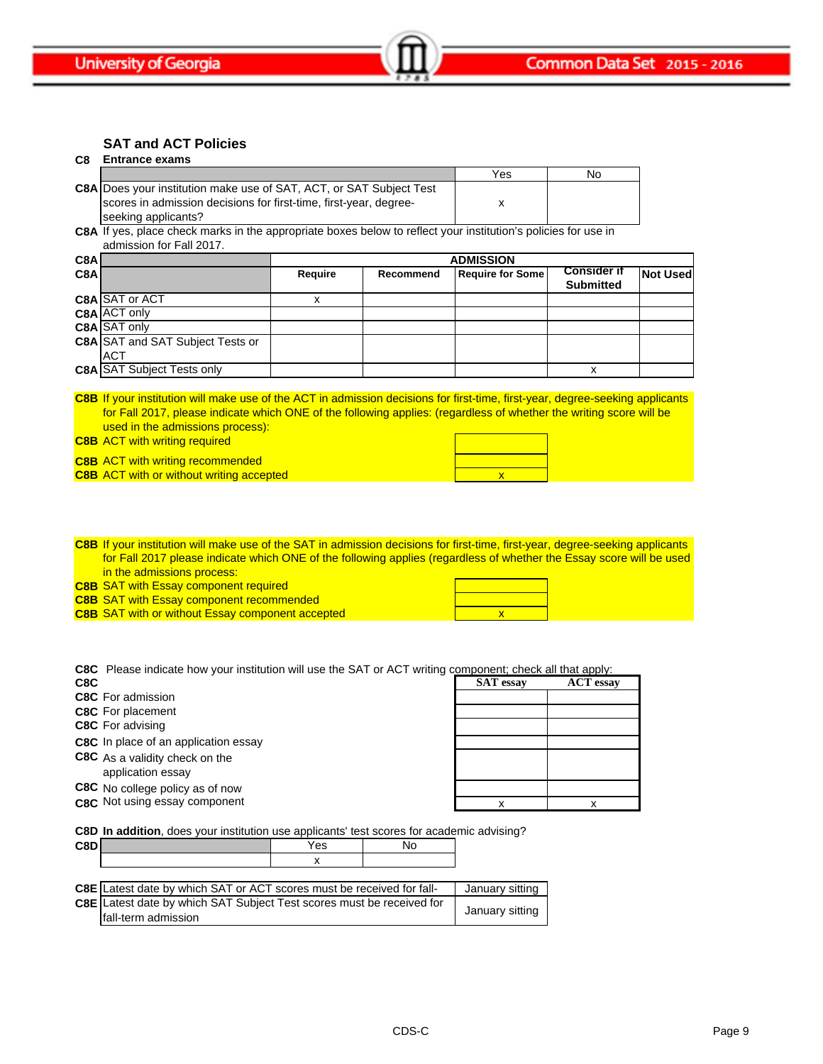**SAT and ACT Policies**

#### **C8 Entrance exams**

|                                                                            | Yes | No |
|----------------------------------------------------------------------------|-----|----|
| <b>C8A Does your institution make use of SAT, ACT, or SAT Subject Test</b> |     |    |
| scores in admission decisions for first-time, first-year, degree-          |     |    |
| seeking applicants?                                                        |     |    |

**C8A** If yes, place check marks in the appropriate boxes below to reflect your institution's policies for use in admission for Fall 2017.

| C8A |                                         | <b>ADMISSION</b> |           |                         |                                        |                 |
|-----|-----------------------------------------|------------------|-----------|-------------------------|----------------------------------------|-----------------|
| C8A |                                         | Require          | Recommend | <b>Require for Some</b> | <b>Consider if</b><br><b>Submitted</b> | <b>Not Used</b> |
|     | C8A SAT or ACT                          |                  |           |                         |                                        |                 |
|     | C8A ACT only                            |                  |           |                         |                                        |                 |
|     | C8A SAT only                            |                  |           |                         |                                        |                 |
|     | <b>C8A SAT and SAT Subject Tests or</b> |                  |           |                         |                                        |                 |
|     | <b>ACT</b>                              |                  |           |                         |                                        |                 |
|     | <b>C8A SAT Subject Tests only</b>       |                  |           |                         | X                                      |                 |

**C8B** If your institution will make use of the ACT in admission decisions for first-time, first-year, degree-seeking applicants for Fall 2017, please indicate which ONE of the following applies: (regardless of whether the writing score will be used in the admissions process):

**C8B** ACT with writing required

**C8B** ACT with writing recommended **C8B** ACT with or without writing accepted **ACT With Order ACT Without Writing accepted** 

**C8B** If your institution will make use of the SAT in admission decisions for first-time, first-year, degree-seeking applicants for Fall 2017 please indicate which ONE of the following applies (regardless of whether the Essay score will be used in the admissions process:

**C8B** SAT with Essay component required

- **C8B** SAT with Essay component recommended
- **C8B** SAT with or without Essay component accepted **C8B** SAT with or without Essay component accepted

**C8C** Please indicate how your institution will use the SAT or ACT writing component; check all that apply:

| C8C | <b>SAT</b> essay | <b>ACT</b> essay |
|-----|------------------|------------------|
|     |                  |                  |

**C8C** For admission

- **C8C** For placement
- **C8C** For advising

**C8C** In place of an application essay

- **C8C** As a validity check on the
- application essay
- **C8C** No college policy as of now
- **C8C** Not using essay component

|  | x |
|--|---|
|  |   |

**C8D In addition**, does your institution use applicants' test scores for academic advising?

| ra |  |
|----|--|
|    |  |

| C8E Latest date by which SAT or ACT scores must be received for fall-                        | January sitting |
|----------------------------------------------------------------------------------------------|-----------------|
| C8E Latest date by which SAT Subject Test scores must be received for<br>fall-term admission | January sitting |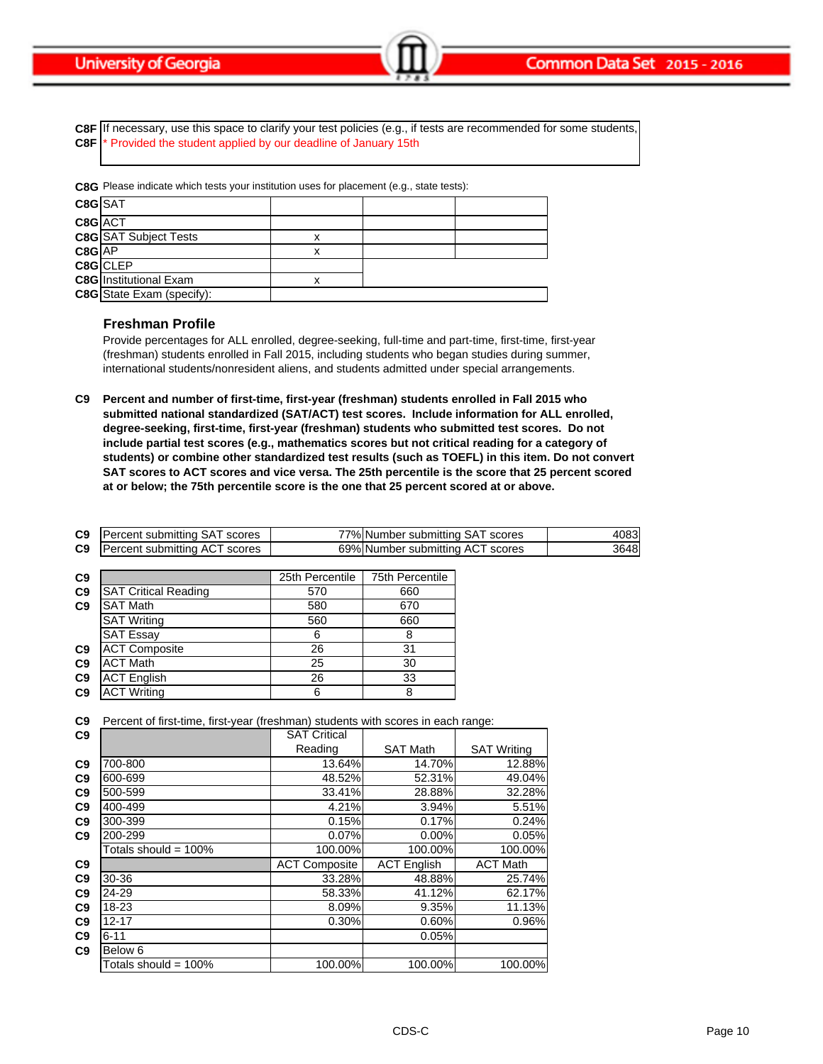**C8F** If necessary, use this space to clarify your test policies (e.g., if tests are recommended for some students, **C8F** \* Provided the student applied by our deadline of January 15th

**C8G** Please indicate which tests your institution uses for placement (e.g., state tests):

| C8G SAT  |                                  |   |  |
|----------|----------------------------------|---|--|
| C8G ACT  |                                  |   |  |
|          | <b>C8G</b> SAT Subject Tests     | х |  |
| $C8G$ AP |                                  | x |  |
|          | C8G CLEP                         |   |  |
|          | <b>C8G</b> Institutional Exam    | x |  |
|          | <b>C8G</b> State Exam (specify): |   |  |

### **Freshman Profile**

Provide percentages for ALL enrolled, degree-seeking, full-time and part-time, first-time, first-year (freshman) students enrolled in Fall 2015, including students who began studies during summer, international students/nonresident aliens, and students admitted under special arrangements.

**C9 Percent and number of first-time, first-year (freshman) students enrolled in Fall 2015 who submitted national standardized (SAT/ACT) test scores. Include information for ALL enrolled, degree-seeking, first-time, first-year (freshman) students who submitted test scores. Do not include partial test scores (e.g., mathematics scores but not critical reading for a category of students) or combine other standardized test results (such as TOEFL) in this item. Do not convert**  SAT scores to ACT scores and vice versa. The 25th percentile is the score that 25 percent scored **at or below; the 75th percentile score is the one that 25 percent scored at or above.**

| <b>C9</b> Percent submitting SAT scores | 77% Number submitting SAT scores | 4083 |
|-----------------------------------------|----------------------------------|------|
| <b>C9</b> Percent submitting ACT scores | 69% Number submitting ACT scores | 3648 |

| C <sub>9</sub> |                             | 25th Percentile | 75th Percentile |
|----------------|-----------------------------|-----------------|-----------------|
| C <sub>9</sub> | <b>SAT Critical Reading</b> | 570             | 660             |
| C9             | <b>SAT Math</b>             | 580             | 670             |
|                | <b>SAT Writing</b>          | 560             | 660             |
|                | <b>SAT Essay</b>            | 6               | 8               |
| C <sub>9</sub> | <b>ACT Composite</b>        | 26              | 31              |
| C <sub>9</sub> | <b>ACT Math</b>             | 25              | 30              |
| C9             | <b>ACT English</b>          | 26              | 33              |
| C <sub>9</sub> | <b>ACT Writing</b>          | 6               | 8               |

**C9** Percent of first-time, first-year (freshman) students with scores in each range:

| C <sub>9</sub> |                         | <b>SAT Critical</b>  |                    |                    |
|----------------|-------------------------|----------------------|--------------------|--------------------|
|                |                         | Reading              | <b>SAT Math</b>    | <b>SAT Writing</b> |
| C9             | 700-800                 | 13.64%               | 14.70%             | 12.88%             |
| C9             | 600-699                 | 48.52%               | 52.31%             | 49.04%             |
| C9             | 500-599                 | 33.41%               | 28.88%             | 32.28%             |
| C9             | 400-499                 | 4.21%                | 3.94%              | 5.51%              |
| C9             | 300-399                 | 0.15%                | 0.17%              | 0.24%              |
| C9             | 200-299                 | 0.07%                | 0.00%              | 0.05%              |
|                | Totals should = $100\%$ | 100.00%              | 100.00%            | 100.00%            |
| C9             |                         | <b>ACT Composite</b> | <b>ACT English</b> | <b>ACT Math</b>    |
| C9             | 30-36                   | 33.28%               | 48.88%             | 25.74%             |
| C9             | 24-29                   | 58.33%               | 41.12%             | 62.17%             |
| C <sub>9</sub> | 18-23                   | 8.09%                | 9.35%              | 11.13%             |
| C9             | $12 - 17$               | 0.30%                | 0.60%              | 0.96%              |
| C9             | $6 - 11$                |                      | 0.05%              |                    |
| C9             | Below <sub>6</sub>      |                      |                    |                    |
|                | Totals should = $100\%$ | 100.00%              | 100.00%            | 100.00%            |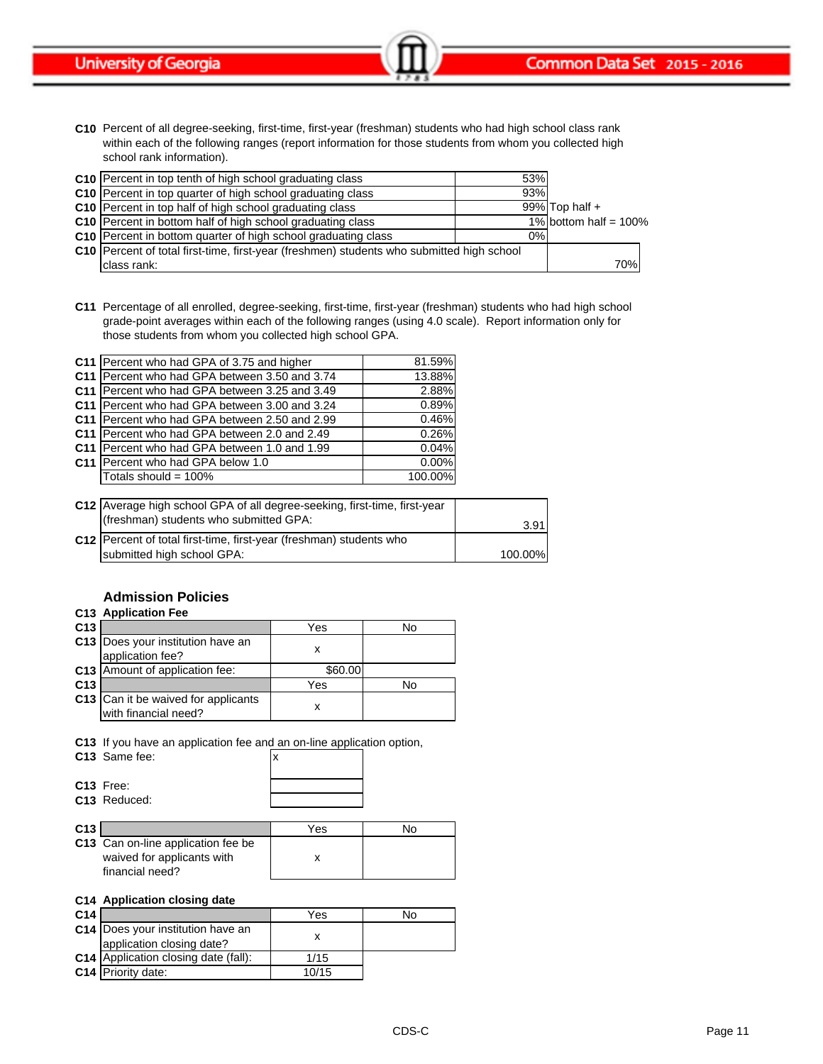**C10** Percent of all degree-seeking, first-time, first-year (freshman) students who had high school class rank within each of the following ranges (report information for those students from whom you collected high school rank information).

| C10 Percent in top tenth of high school graduating class                                         | 53% |                          |     |
|--------------------------------------------------------------------------------------------------|-----|--------------------------|-----|
| C10 Percent in top quarter of high school graduating class                                       | 93% |                          |     |
| C10 Percent in top half of high school graduating class                                          |     | 99% Top half $+$         |     |
| <b>C10</b> Percent in bottom half of high school graduating class                                |     | 1% bottom half = $100\%$ |     |
| C10 Percent in bottom quarter of high school graduating class                                    | 0%  |                          |     |
| <b>C10</b> Percent of total first-time, first-year (freshmen) students who submitted high school |     |                          |     |
| class rank:                                                                                      |     |                          | 70% |

**C11** Percentage of all enrolled, degree-seeking, first-time, first-year (freshman) students who had high school grade-point averages within each of the following ranges (using 4.0 scale). Report information only for those students from whom you collected high school GPA.

| C11 Percent who had GPA of 3.75 and higher    | 81.59%  |
|-----------------------------------------------|---------|
| C11 Percent who had GPA between 3.50 and 3.74 | 13.88%  |
| C11 Percent who had GPA between 3.25 and 3.49 | 2.88%   |
| C11 Percent who had GPA between 3.00 and 3.24 | 0.89%   |
| C11 Percent who had GPA between 2.50 and 2.99 | 0.46%   |
| C11 Percent who had GPA between 2.0 and 2.49  | 0.26%   |
| C11 Percent who had GPA between 1.0 and 1.99  | 0.04%   |
| C11 Percent who had GPA below 1.0             | 0.00%   |
| Totals should = 100%                          | 100.00% |
|                                               |         |

| C12 Average high school GPA of all degree-seeking, first-time, first-year |         |
|---------------------------------------------------------------------------|---------|
| (freshman) students who submitted GPA:                                    | 3.91    |
| C12   Percent of total first-time, first-year (freshman) students who     |         |
| submitted high school GPA:                                                | 100.00% |

### **Admission Policies**

### **C13 Application Fee**

| C <sub>13</sub> |                                                             | Yes     | N٥ |
|-----------------|-------------------------------------------------------------|---------|----|
|                 | C13 Does your institution have an<br>application fee?       |         |    |
|                 | C13 Amount of application fee:                              | \$60.00 |    |
| C <sub>13</sub> |                                                             | Yes     | N٥ |
|                 | C13 Can it be waived for applicants<br>with financial need? |         |    |

**C13** If you have an application fee and an on-line application option,

| C13 Same fee:               |  |
|-----------------------------|--|
| $C13$ Free:<br>C13 Reduced: |  |

| C <sub>13</sub> |                                    | Yes | No |
|-----------------|------------------------------------|-----|----|
|                 | C13 Can on-line application fee be |     |    |
|                 | waived for applicants with         |     |    |
|                 | financial need?                    |     |    |

### **C14 Application closing date**

| C <sub>14</sub> |                                                                | Yes   | N٥ |
|-----------------|----------------------------------------------------------------|-------|----|
|                 | C14 Does your institution have an<br>application closing date? |       |    |
|                 | C14 Application closing date (fall):                           | 1/15  |    |
|                 | C <sub>14</sub> Priority date:                                 | 10/15 |    |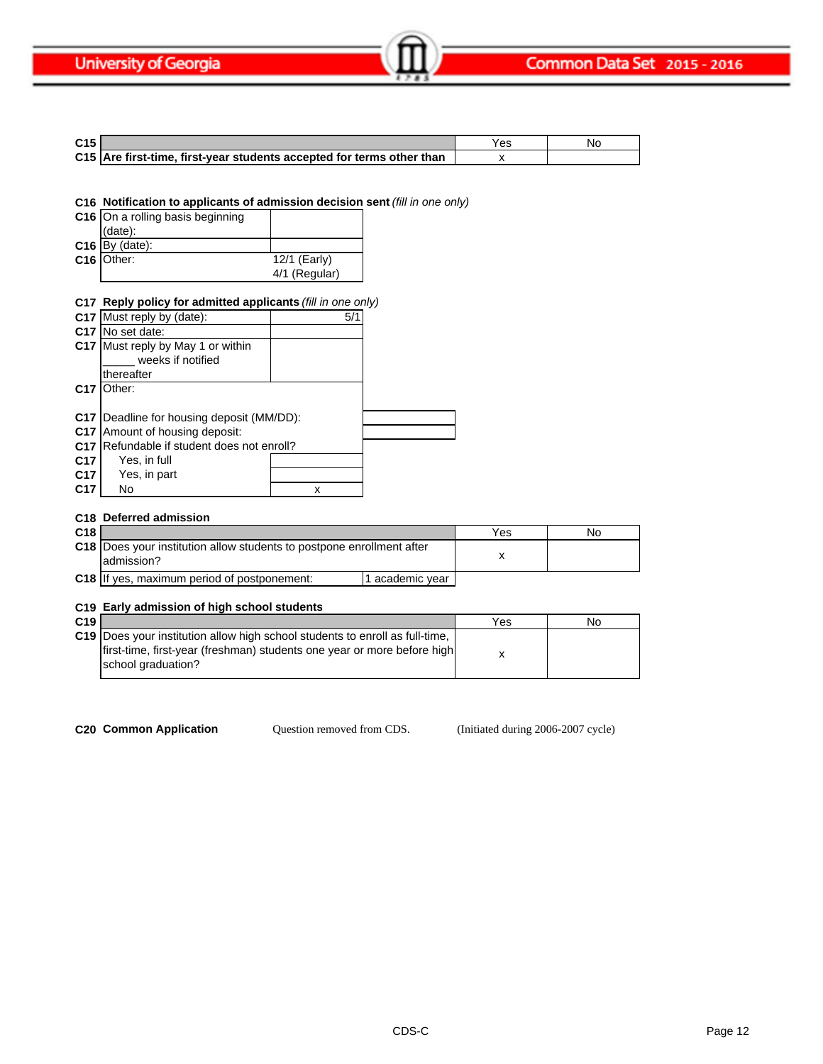| C <sub>15</sub> |                                                                       | Y es | N٢ |
|-----------------|-----------------------------------------------------------------------|------|----|
|                 | C15 Are first-time, first-year students accepted for terms other than |      |    |

**C16 Notification to applicants of admission decision sent** *(fill in one only)*

| C16 On a rolling basis beginning |                |
|----------------------------------|----------------|
| $(data)$ :                       |                |
| $C16$ By (date):                 |                |
| C16 Other:                       | $12/1$ (Early) |
|                                  | 4/1 (Regular)  |

### **C17 Reply policy for admitted applicants** *(fill in one only)*

|                 | C17 Must reply by (date):                        | 5/1 |  |
|-----------------|--------------------------------------------------|-----|--|
| C <sub>17</sub> | No set date:                                     |     |  |
|                 | C17 Must reply by May 1 or within                |     |  |
|                 | weeks if notified                                |     |  |
|                 | thereafter                                       |     |  |
| C <sub>17</sub> | Other:                                           |     |  |
|                 |                                                  |     |  |
|                 | <b>C17</b> Deadline for housing deposit (MM/DD): |     |  |
| C <sub>17</sub> | Amount of housing deposit:                       |     |  |
| C <sub>17</sub> | Refundable if student does not enroll?           |     |  |
| C <sub>17</sub> | Yes, in full                                     |     |  |
| C17             | Yes, in part                                     |     |  |
| C <sub>17</sub> | No                                               |     |  |
|                 |                                                  |     |  |

### **C18 Deferred admission**

| C <sub>18</sub> |                                                                                            | Yes | No |
|-----------------|--------------------------------------------------------------------------------------------|-----|----|
|                 | <b>C18</b> Does your institution allow students to postpone enrollment after<br>admission? |     |    |
|                 | <b>C18</b> If yes, maximum period of postponement:<br>academic year                        |     |    |

# **C19 Early admission of high school students**

| C19 |                                                                                                                                                          | Yes | No |
|-----|----------------------------------------------------------------------------------------------------------------------------------------------------------|-----|----|
|     | C19  Does your institution allow high school students to enroll as full-time,<br>first-time, first-year (freshman) students one year or more before high |     |    |
|     | school graduation?                                                                                                                                       |     |    |

Question removed from CDS.

**C20 Common Application Question removed from CDS.** (Initiated during 2006-2007 cycle)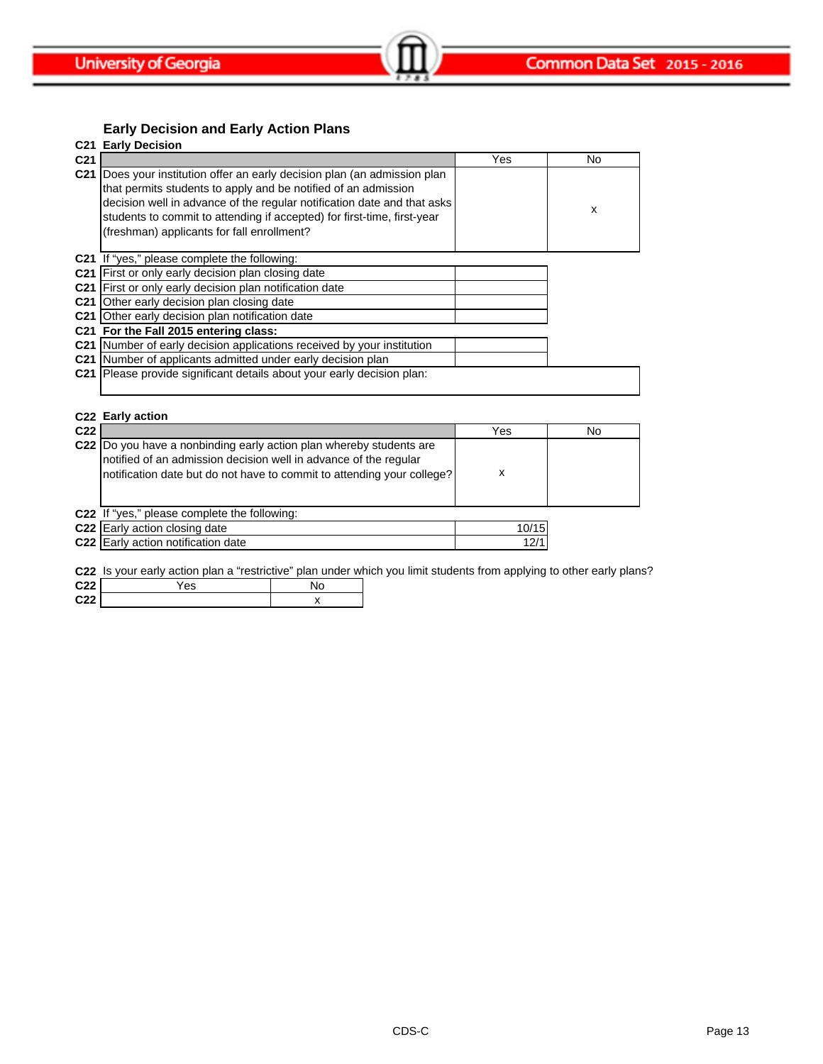# **Early Decision and Early Action Plans**

|                 | <b>C21 Early Decision</b>                                                 |     |    |
|-----------------|---------------------------------------------------------------------------|-----|----|
| C <sub>21</sub> |                                                                           | Yes | No |
|                 | C21 Does your institution offer an early decision plan (an admission plan |     |    |
|                 | that permits students to apply and be notified of an admission            |     |    |
|                 | decision well in advance of the regular notification date and that asks   |     | x  |
|                 | students to commit to attending if accepted) for first-time, first-year   |     |    |
|                 | (freshman) applicants for fall enrollment?                                |     |    |
|                 |                                                                           |     |    |
| C21             | If "yes," please complete the following:                                  |     |    |
|                 | C21 First or only early decision plan closing date                        |     |    |
|                 | C21 First or only early decision plan notification date                   |     |    |
| C <sub>21</sub> | Other early decision plan closing date                                    |     |    |
| C <sub>21</sub> | Other early decision plan notification date                               |     |    |
|                 | C21 For the Fall 2015 entering class:                                     |     |    |
|                 | C21 Number of early decision applications received by your institution    |     |    |
|                 | C21 Number of applicants admitted under early decision plan               |     |    |
| C <sub>21</sub> | Please provide significant details about your early decision plan:        |     |    |
|                 |                                                                           |     |    |
|                 |                                                                           |     |    |
|                 | C22 Early action                                                          |     |    |
| C <sub>22</sub> |                                                                           | Yes | No |
|                 | C22 Do you have a nonbinding early action plan whereby students are       |     |    |
|                 | notified of an admission decision well in advance of the regular          |     |    |
|                 | notification date but do not have to commit to attending your college?    | X   |    |
|                 |                                                                           |     |    |
|                 |                                                                           |     |    |

**C22** If "yes," please complete the following:

| <b>C22</b> Early action closing date | 10/15 |
|--------------------------------------|-------|
| C22 Early action notification date   |       |

**C22** Is your early action plan a "restrictive" plan under which you limit students from applying to other early plans?

| C <sub>22</sub>        | 'es | No |
|------------------------|-----|----|
| C <sub>22</sub><br>--- |     |    |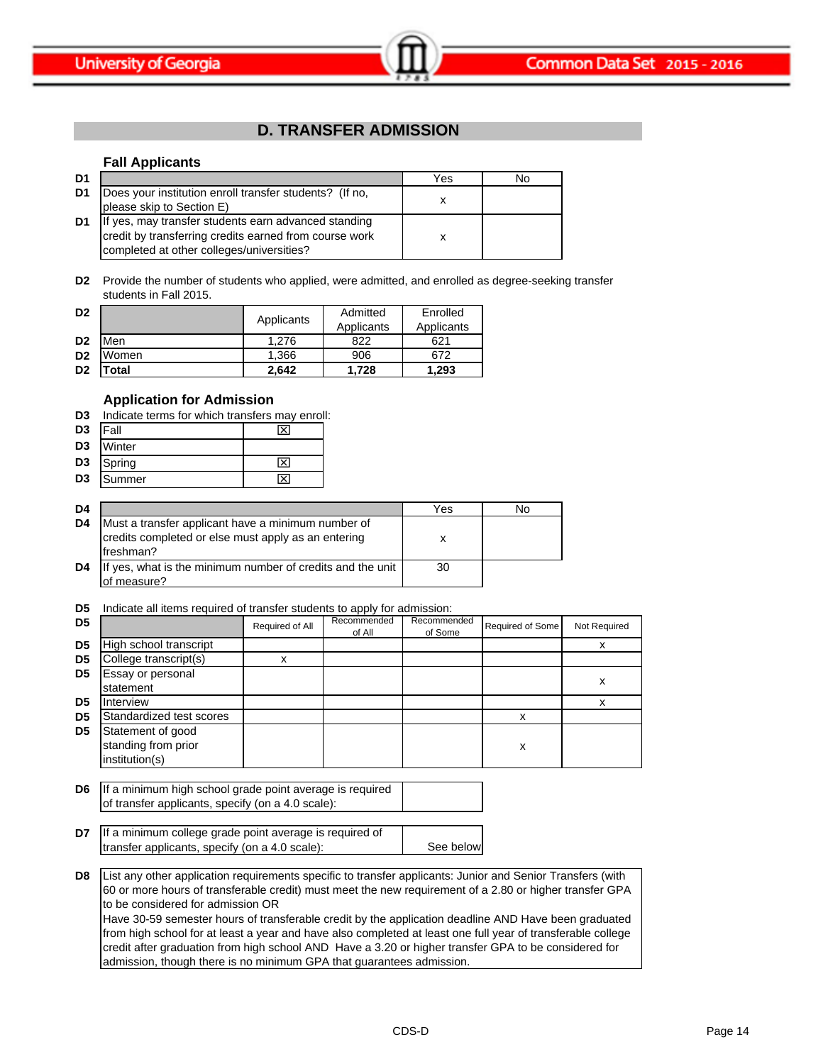

# **D. TRANSFER ADMISSION**

### **Fall Applicants**

| D1 |                                                                                                                                                             | Yes | No |
|----|-------------------------------------------------------------------------------------------------------------------------------------------------------------|-----|----|
| D1 | Does your institution enroll transfer students? (If no,<br>please skip to Section E)                                                                        |     |    |
| D1 | If yes, may transfer students earn advanced standing<br>credit by transferring credits earned from course work<br>completed at other colleges/universities? |     |    |

**D2** Provide the number of students who applied, were admitted, and enrolled as degree-seeking transfer students in Fall 2015.

| D <sub>2</sub> |             | Applicants | Admitted   | Enrolled   |
|----------------|-------------|------------|------------|------------|
|                |             |            | Applicants | Applicants |
| D <sub>2</sub> | Men         | 1.276      | 822        | 621        |
| D <sub>2</sub> | Women       | 1,366      | 906        | 672        |
| D <sub>2</sub> | <b>otal</b> | 2.642      | 1.728      | 1.293      |

### **Application for Admission**

| D3             | Indicate terms for which transfers may enroll: |  |  |  |  |
|----------------|------------------------------------------------|--|--|--|--|
| D <sub>3</sub> | Fall                                           |  |  |  |  |
| D <sub>3</sub> | Winter                                         |  |  |  |  |
| D <sub>3</sub> | Spring                                         |  |  |  |  |
| D <sub>3</sub> | Summer                                         |  |  |  |  |

| D4 |                                                                                                                        | Yes | No |
|----|------------------------------------------------------------------------------------------------------------------------|-----|----|
| D4 | Must a transfer applicant have a minimum number of<br>credits completed or else must apply as an entering<br>freshman? | х   |    |
| D4 | If yes, what is the minimum number of credits and the unit<br>of measure?                                              | 30  |    |

**D5** Indicate all items required of transfer students to apply for admission:

| D <sub>5</sub> |                                                            | Required of All | Recommended<br>of All | Recommended<br>of Some | Required of Some | Not Required |
|----------------|------------------------------------------------------------|-----------------|-----------------------|------------------------|------------------|--------------|
| D <sub>5</sub> | High school transcript                                     |                 |                       |                        |                  | х            |
| D <sub>5</sub> | College transcript(s)                                      | x               |                       |                        |                  |              |
| D <sub>5</sub> | Essay or personal<br>statement                             |                 |                       |                        |                  | х            |
| D <sub>5</sub> | Interview                                                  |                 |                       |                        |                  | x            |
| D <sub>5</sub> | Standardized test scores                                   |                 |                       |                        | x                |              |
| D <sub>5</sub> | Statement of good<br>standing from prior<br>institution(s) |                 |                       |                        | x                |              |

**D6** If a minimum high school grade point average is required of transfer applicants, specify (on a 4.0 scale):

| D7 If a minimum college grade point average is required of |           |
|------------------------------------------------------------|-----------|
| transfer applicants, specify (on a 4.0 scale):             | See below |
|                                                            |           |

**D8** List any other application requirements specific to transfer applicants: Junior and Senior Transfers (with 60 or more hours of transferable credit) must meet the new requirement of a 2.80 or higher transfer GPA to be considered for admission OR Have 30-59 semester hours of transferable credit by the application deadline AND Have been graduated from high school for at least a year and have also completed at least one full year of transferable college credit after graduation from high school AND Have a 3.20 or higher transfer GPA to be considered for

admission, though there is no minimum GPA that guarantees admission.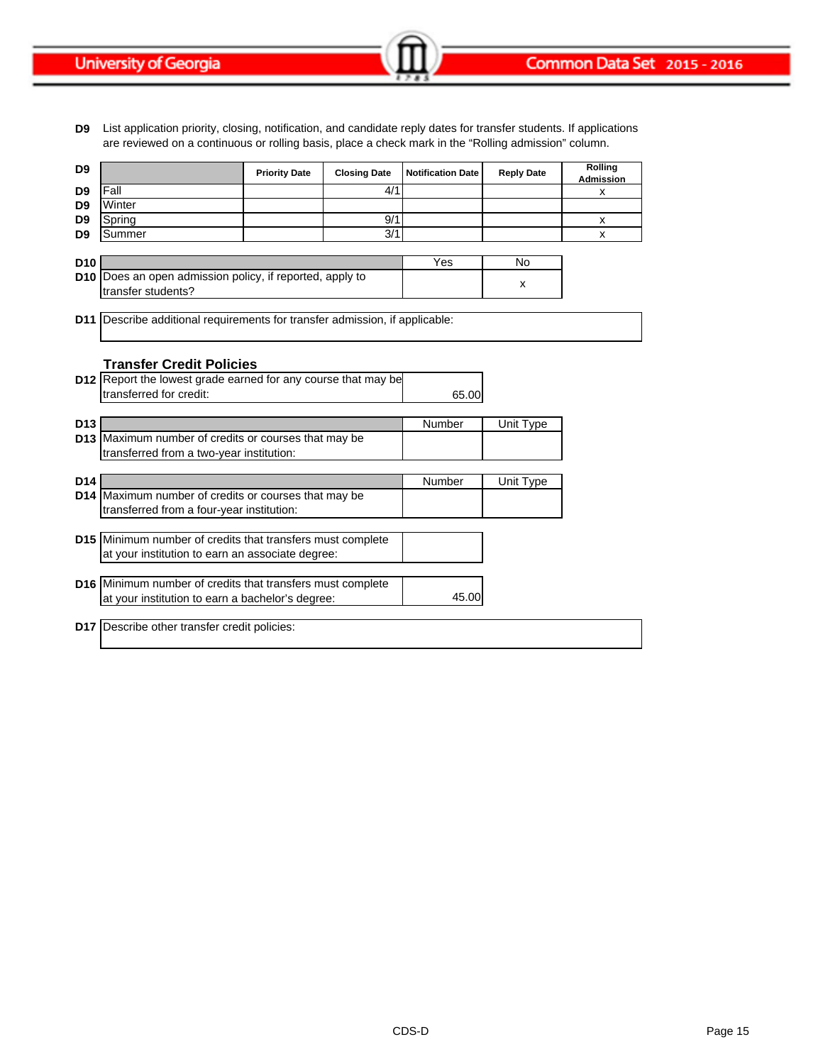Common Data Set 2015 - 2016

**University of Georgia** 

**D9** List application priority, closing, notification, and candidate reply dates for transfer students. If applications are reviewed on a continuous or rolling basis, place a check mark in the "Rolling admission" column.

| D <sub>9</sub>  |                                                                         | <b>Priority Date</b> | <b>Closing Date</b> | <b>Notification Date</b> | <b>Reply Date</b> | Rolling<br><b>Admission</b> |
|-----------------|-------------------------------------------------------------------------|----------------------|---------------------|--------------------------|-------------------|-----------------------------|
| D <sub>9</sub>  | Fall                                                                    |                      | 4/1                 |                          |                   | X                           |
| D <sub>9</sub>  | Winter                                                                  |                      |                     |                          |                   |                             |
| D <sub>9</sub>  | Spring                                                                  |                      | 9/1                 |                          |                   | X                           |
| D <sub>9</sub>  | Summer                                                                  |                      | 3/1                 |                          |                   | x                           |
|                 |                                                                         |                      |                     |                          |                   |                             |
| D <sub>10</sub> |                                                                         |                      |                     | Yes                      | No                |                             |
|                 | <b>D10</b> Does an open admission policy, if reported, apply to         |                      |                     |                          | x                 |                             |
|                 | transfer students?                                                      |                      |                     |                          |                   |                             |
| D <sub>11</sub> | Describe additional requirements for transfer admission, if applicable: |                      |                     |                          |                   |                             |
|                 |                                                                         |                      |                     |                          |                   |                             |
|                 |                                                                         |                      |                     |                          |                   |                             |
|                 | <b>Transfer Credit Policies</b>                                         |                      |                     |                          |                   |                             |
|                 | <b>D12</b> Report the lowest grade earned for any course that may be    |                      |                     |                          |                   |                             |
|                 | transferred for credit:                                                 |                      |                     | 65.00                    |                   |                             |
|                 |                                                                         |                      |                     |                          |                   |                             |
| D <sub>13</sub> |                                                                         |                      |                     | Number                   | Unit Type         |                             |
|                 | D13 Maximum number of credits or courses that may be                    |                      |                     |                          |                   |                             |
|                 | transferred from a two-year institution:                                |                      |                     |                          |                   |                             |
|                 |                                                                         |                      |                     |                          |                   |                             |
| D <sub>14</sub> |                                                                         |                      |                     | Number                   | Unit Type         |                             |
|                 | D14 Maximum number of credits or courses that may be                    |                      |                     |                          |                   |                             |
|                 | transferred from a four-year institution:                               |                      |                     |                          |                   |                             |
|                 |                                                                         |                      |                     |                          |                   |                             |
|                 | D15 Minimum number of credits that transfers must complete              |                      |                     |                          |                   |                             |
|                 | at your institution to earn an associate degree:                        |                      |                     |                          |                   |                             |
|                 |                                                                         |                      |                     |                          |                   |                             |
|                 | D16 Minimum number of credits that transfers must complete              |                      |                     |                          |                   |                             |
|                 | at your institution to earn a bachelor's degree:                        |                      |                     | 45.00                    |                   |                             |
|                 | D17 Describe other transfer credit policies:                            |                      |                     |                          |                   |                             |
|                 |                                                                         |                      |                     |                          |                   |                             |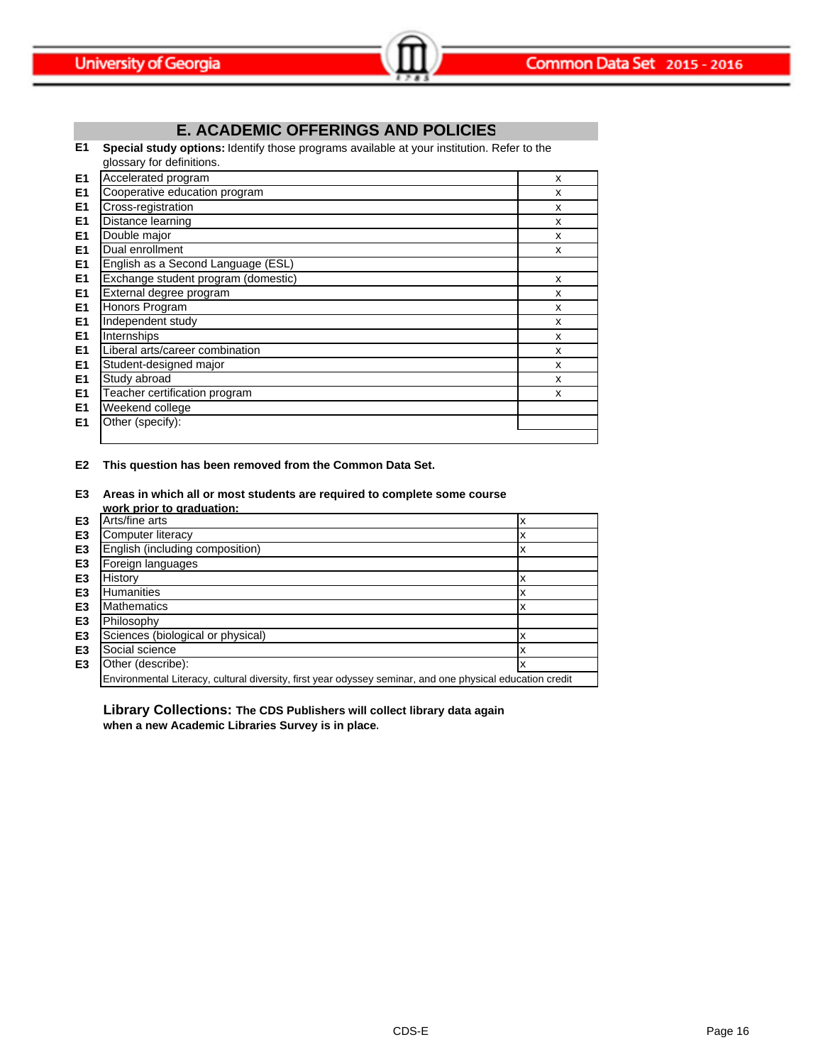# **E. ACADEMIC OFFERINGS AND POLICIES**

**E1 Special study options:** Identify those programs available at your institution. Refer to the glossary for definitions.

| E1             | Accelerated program                 | x |
|----------------|-------------------------------------|---|
| E1             | Cooperative education program       | X |
| E1             | Cross-registration                  | x |
| E1             | Distance learning                   | x |
| E1             | Double major                        | X |
| E1             | Dual enrollment                     | X |
| E <sub>1</sub> | English as a Second Language (ESL)  |   |
| E1             | Exchange student program (domestic) | X |
| E <sub>1</sub> | External degree program             | X |
| E <sub>1</sub> | Honors Program                      | x |
| E <sub>1</sub> | Independent study                   | X |
| E <sub>1</sub> | Internships                         | X |
| E <sub>1</sub> | Liberal arts/career combination     | X |
| E1             | Student-designed major              | X |
| E1             | Study abroad                        | X |
| E1             | Teacher certification program       | X |
| E1             | Weekend college                     |   |
| E <sub>1</sub> | Other (specify):                    |   |
|                |                                     |   |

**E2 This question has been removed from the Common Data Set.**

**E3 Areas in which all or most students are required to complete some course** 

|                | work prior to graduation:                                                                                 |   |
|----------------|-----------------------------------------------------------------------------------------------------------|---|
| E3             | Arts/fine arts                                                                                            |   |
| E3             | Computer literacy                                                                                         |   |
| E <sub>3</sub> | English (including composition)                                                                           | x |
| E <sub>3</sub> | Foreign languages                                                                                         |   |
| E <sub>3</sub> | History                                                                                                   |   |
| E3             | <b>Humanities</b>                                                                                         |   |
| E3             | <b>Mathematics</b>                                                                                        |   |
| E <sub>3</sub> | Philosophy                                                                                                |   |
| E <sub>3</sub> | Sciences (biological or physical)                                                                         |   |
| E <sub>3</sub> | Social science                                                                                            |   |
| E <sub>3</sub> | Other (describe):                                                                                         |   |
|                | Environmental Literacy, cultural diversity, first year odyssey seminar, and one physical education credit |   |

**Library Collections: The CDS Publishers will collect library data again when a new Academic Libraries Survey is in place.**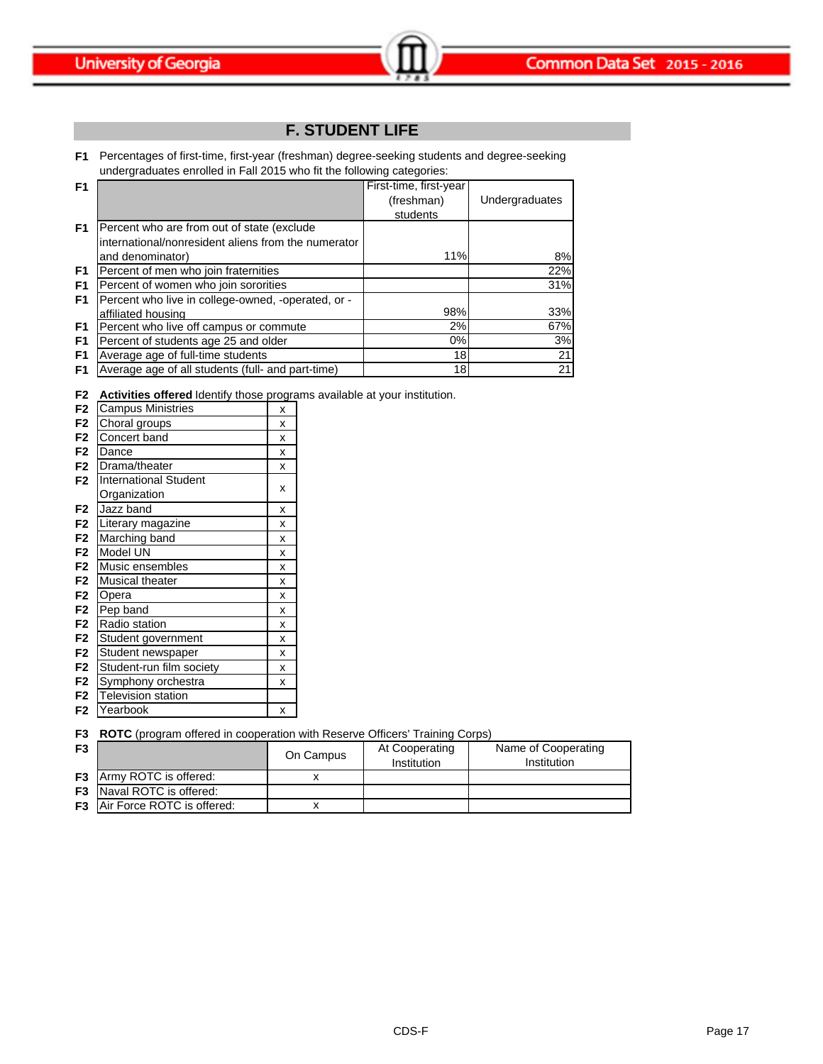# **F. STUDENT LIFE**

**F1** Percentages of first-time, first-year (freshman) degree-seeking students and degree-seeking undergraduates enrolled in Fall 2015 who fit the following categories:

| F <sub>1</sub> |                                                     | First-time, first-year |                |
|----------------|-----------------------------------------------------|------------------------|----------------|
|                |                                                     | (freshman)             | Undergraduates |
|                |                                                     | students               |                |
| F <sub>1</sub> | Percent who are from out of state (exclude          |                        |                |
|                | international/nonresident aliens from the numerator |                        |                |
|                | and denominator)                                    | 11%                    | 8%             |
| F <sub>1</sub> | Percent of men who join fraternities                |                        | 22%            |
| F <sub>1</sub> | Percent of women who join sororities                |                        | 31%            |
| F <sub>1</sub> | Percent who live in college-owned, -operated, or -  |                        |                |
|                | affiliated housing                                  | 98%                    | 33%            |
| F <sub>1</sub> | Percent who live off campus or commute              | 2%                     | 67%            |
| F <sub>1</sub> | Percent of students age 25 and older                | 0%                     | 3%             |
| F <sub>1</sub> | Average age of full-time students                   | 18                     | 21             |
| F <sub>1</sub> | Average age of all students (full- and part-time)   | 18                     | 21             |

**F2 Activities offered** Identify those programs available at your institution.

| F <sub>2</sub> | <b>Campus Ministries</b>     | x |
|----------------|------------------------------|---|
| F <sub>2</sub> | Choral groups                | x |
| F <sub>2</sub> | Concert band                 | X |
| F <sub>2</sub> | Dance                        | x |
| F <sub>2</sub> | Drama/theater                | X |
| F <sub>2</sub> | <b>International Student</b> | x |
|                | Organization                 |   |
| F <sub>2</sub> | Jazz band                    | x |
| F <sub>2</sub> | Literary magazine            | x |
| F <sub>2</sub> | Marching band                | x |
| F <sub>2</sub> | Model UN                     | X |
| F <sub>2</sub> | Music ensembles              | X |
| F <sub>2</sub> | Musical theater              | x |
| F <sub>2</sub> | Opera                        | X |
| F <sub>2</sub> | Pep band                     | X |
| F <sub>2</sub> | Radio station                | x |
| F <sub>2</sub> | Student government           | x |
| F <sub>2</sub> | Student newspaper            | X |
| F <sub>2</sub> | Student-run film society     | X |
| F <sub>2</sub> | Symphony orchestra           | x |
| F <sub>2</sub> | <b>Television station</b>    |   |
| F2             | Yearbook                     | x |

| <b>F3</b> ROTC (program offered in cooperation with Reserve Officers' Training Corps) |  |  |  |
|---------------------------------------------------------------------------------------|--|--|--|
|                                                                                       |  |  |  |

| F <sub>3</sub> | $\cdots$                             | On Campus | At Cooperating<br>Institution | Name of Cooperating<br>Institution |
|----------------|--------------------------------------|-----------|-------------------------------|------------------------------------|
|                | <b>F3</b> Army ROTC is offered:      |           |                               |                                    |
|                | <b>F3</b> Naval ROTC is offered:     |           |                               |                                    |
|                | <b>F3</b> Air Force ROTC is offered: |           |                               |                                    |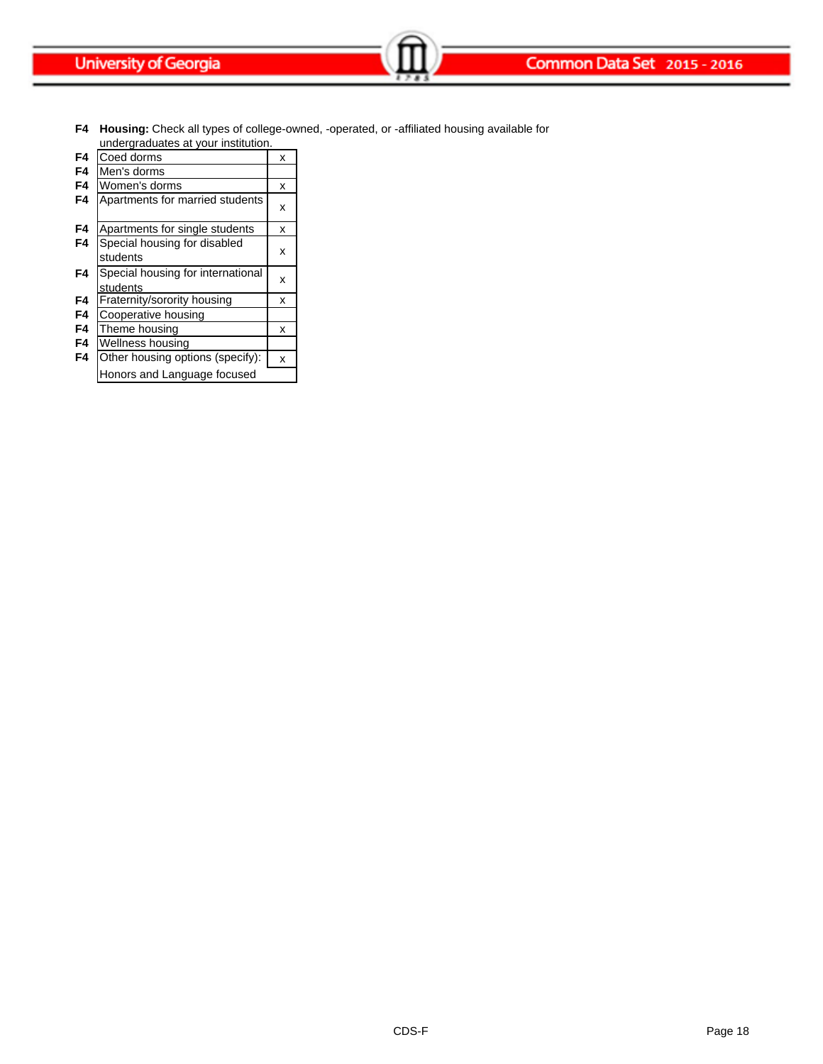**F4 Housing:** Check all types of college-owned, -operated, or -affiliated housing available for

|                | undergraduates at your institution. |   |  |
|----------------|-------------------------------------|---|--|
| F4             | Coed dorms                          | x |  |
| F4             | Men's dorms                         |   |  |
| F4             | Women's dorms                       | x |  |
| F4             | Apartments for married students     | x |  |
| F4             | Apartments for single students      | x |  |
| F4             | Special housing for disabled        |   |  |
|                | students                            | x |  |
| F <sub>4</sub> | Special housing for international   | x |  |
|                | students                            |   |  |
| F4             | Fraternity/sorority housing         | x |  |
| F4             | Cooperative housing                 |   |  |
| F4             | Theme housing                       | x |  |
| F <sub>4</sub> | Wellness housing                    |   |  |
| F4             | Other housing options (specify):    | X |  |

Honors and Language focused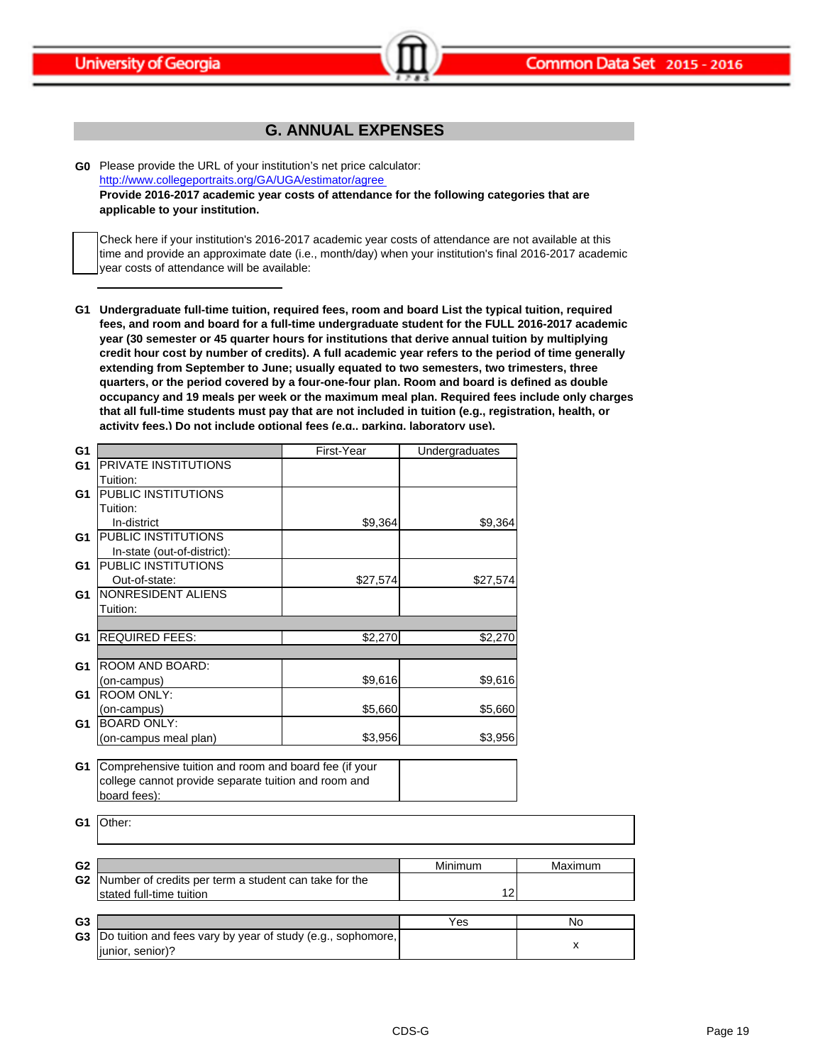

# **G. ANNUAL EXPENSES**

**G0** Please provide the URL of your institution's net price calculator: http://www.collegeportraits.org/GA/UGA/estimator/agree **Provide 2016-2017 academic year costs of attendance for the following categories that are applicable to your institution.**

Check here if your institution's 2016-2017 academic year costs of attendance are not available at this time and provide an approximate date (i.e., month/day) when your institution's final 2016-2017 academic year costs of attendance will be available:

**G1 Undergraduate full-time tuition, required fees, room and board List the typical tuition, required fees, and room and board for a full-time undergraduate student for the FULL 2016-2017 academic year (30 semester or 45 quarter hours for institutions that derive annual tuition by multiplying credit hour cost by number of credits). A full academic year refers to the period of time generally extending from September to June; usually equated to two semesters, two trimesters, three quarters, or the period covered by a four-one-four plan. Room and board is defined as double occupancy and 19 meals per week or the maximum meal plan. Required fees include only charges that all full-time students must pay that are not included in tuition (e.g., registration, health, or activity fees.) Do not include optional fees (e.g., parking, laboratory use).**

| G <sub>1</sub> |                                                             | First-Year | Undergraduates |         |
|----------------|-------------------------------------------------------------|------------|----------------|---------|
| G <sub>1</sub> | <b>PRIVATE INSTITUTIONS</b>                                 |            |                |         |
|                | Tuition:                                                    |            |                |         |
| G1             | PUBLIC INSTITUTIONS                                         |            |                |         |
|                | Tuition:                                                    |            |                |         |
|                | In-district                                                 | \$9,364    | \$9,364        |         |
| G1             | <b>PUBLIC INSTITUTIONS</b>                                  |            |                |         |
|                | In-state (out-of-district):                                 |            |                |         |
| G1             | PUBLIC INSTITUTIONS                                         |            |                |         |
|                | Out-of-state:                                               | \$27,574   | \$27,574       |         |
| G1             | NONRESIDENT ALIENS                                          |            |                |         |
|                | Tuition:                                                    |            |                |         |
|                |                                                             |            |                |         |
| G1             | <b>REQUIRED FEES:</b>                                       | \$2,270    | \$2,270        |         |
|                |                                                             |            |                |         |
| G1             | <b>ROOM AND BOARD:</b>                                      |            |                |         |
|                | (on-campus)                                                 | \$9,616    | \$9,616        |         |
| G1             | <b>ROOM ONLY:</b>                                           |            |                |         |
|                | (on-campus)                                                 | \$5,660    | \$5,660        |         |
| G <sub>1</sub> | <b>BOARD ONLY:</b>                                          |            |                |         |
|                | (on-campus meal plan)                                       | \$3,956    | \$3,956        |         |
|                |                                                             |            |                |         |
| G1             | Comprehensive tuition and room and board fee (if your       |            |                |         |
|                | college cannot provide separate tuition and room and        |            |                |         |
|                | board fees):                                                |            |                |         |
|                |                                                             |            |                |         |
| G1             | Other:                                                      |            |                |         |
|                |                                                             |            |                |         |
|                |                                                             |            |                |         |
| G <sub>2</sub> |                                                             |            | Minimum        | Maximum |
| G <sub>2</sub> | Number of credits per term a student can take for the       |            |                |         |
|                | stated full-time tuition                                    |            | 12             |         |
|                |                                                             |            |                |         |
| G <sub>3</sub> |                                                             |            | Yes            | No      |
| G <sub>3</sub> | Do tuition and fees vary by year of study (e.g., sophomore, |            |                | x       |
|                | junior, senior)?                                            |            |                |         |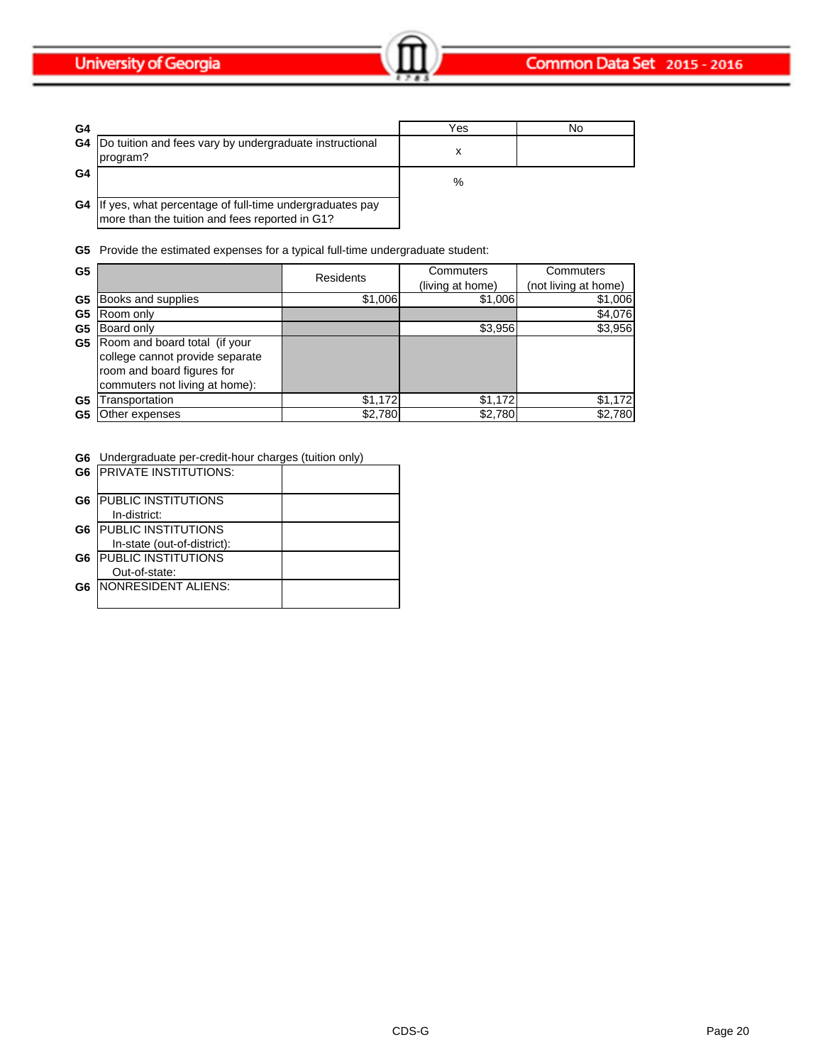| G4 |                                                                                | Yes | No |
|----|--------------------------------------------------------------------------------|-----|----|
|    | <b>G4</b>  Do tuition and fees vary by undergraduate instructional<br>program? |     |    |
| G4 |                                                                                | %   |    |
| G4 | yes, what percentage of full-time undergraduates pay<br>- IIf                  |     |    |

more than the tuition and fees reported in G1?

**G5** Provide the estimated expenses for a typical full-time undergraduate student:

| G <sub>5</sub> |                                                                                                                                  | <b>Residents</b> | Commuters<br>(living at home) | Commuters<br>(not living at home) |
|----------------|----------------------------------------------------------------------------------------------------------------------------------|------------------|-------------------------------|-----------------------------------|
| G <sub>5</sub> | Books and supplies                                                                                                               | \$1,006          | \$1,006                       | \$1,006                           |
| G <sub>5</sub> | Room only                                                                                                                        |                  |                               | \$4,076                           |
| G <sub>5</sub> | Board only                                                                                                                       |                  | \$3,956                       | \$3,956                           |
| G5             | Room and board total (if your<br>college cannot provide separate<br>room and board figures for<br>commuters not living at home): |                  |                               |                                   |
| G <sub>5</sub> | ransportation                                                                                                                    | \$1,172          | \$1,172                       | \$1,172                           |
| G5             | Other expenses                                                                                                                   | \$2,780          | \$2,780                       | \$2,780                           |

**G6** Undergraduate per-credit-hour charges (tuition only)

|    | <b>G6 PRIVATE INSTITUTIONS:</b> |  |
|----|---------------------------------|--|
| G6 | <b>PUBLIC INSTITUTIONS</b>      |  |
|    | In-district:                    |  |
| G6 | <b>IPUBLIC INSTITUTIONS</b>     |  |
|    | In-state (out-of-district):     |  |
| G6 | <b>PUBLIC INSTITUTIONS</b>      |  |
|    | Out-of-state:                   |  |
| G6 | <b>INONRESIDENT ALIENS:</b>     |  |
|    |                                 |  |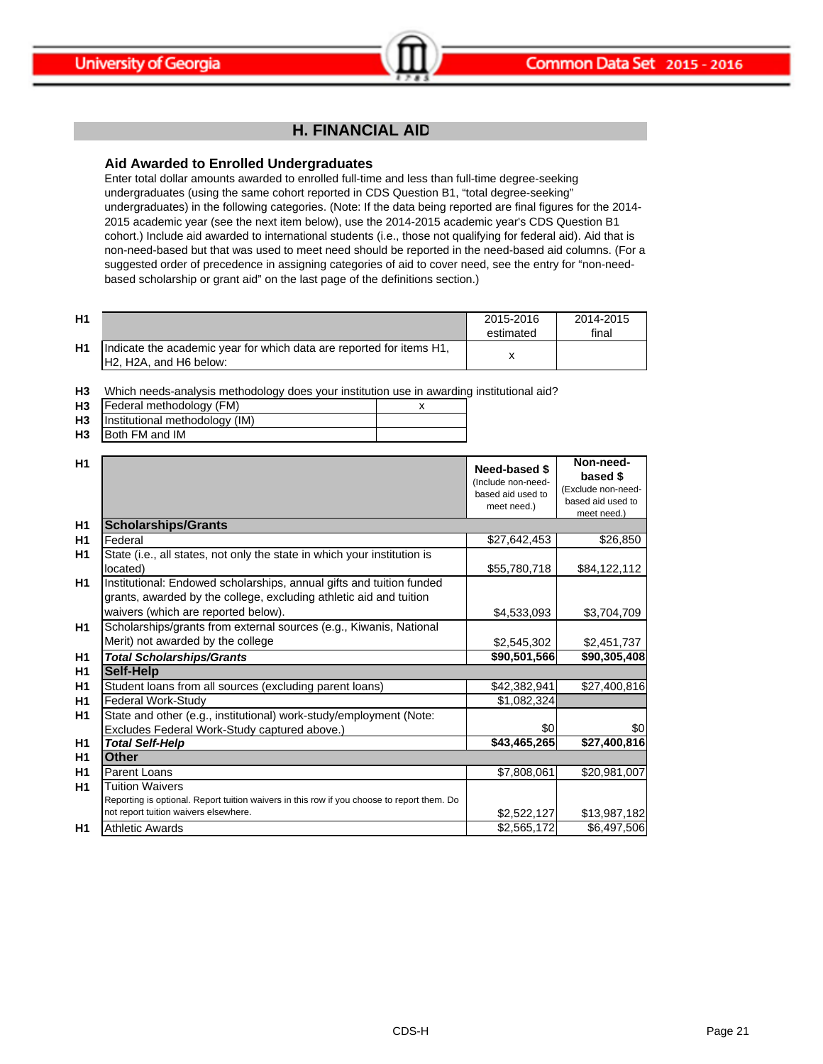

# **H. FINANCIAL AID**

### **Aid Awarded to Enrolled Undergraduates**

Enter total dollar amounts awarded to enrolled full-time and less than full-time degree-seeking undergraduates (using the same cohort reported in CDS Question B1, "total degree-seeking" undergraduates) in the following categories. (Note: If the data being reported are final figures for the 2014- 2015 academic year (see the next item below), use the 2014-2015 academic year's CDS Question B1 cohort.) Include aid awarded to international students (i.e., those not qualifying for federal aid). Aid that is non-need-based but that was used to meet need should be reported in the need-based aid columns. (For a suggested order of precedence in assigning categories of aid to cover need, see the entry for "non-needbased scholarship or grant aid" on the last page of the definitions section.)

| H <sub>1</sub> |                                                                                                 | 2015-2016<br>estimated | 2014-2015<br>final |
|----------------|-------------------------------------------------------------------------------------------------|------------------------|--------------------|
| H1             | Indicate the academic year for which data are reported for items H1,<br>IH2, H2A, and H6 below: |                        |                    |

**H3** Which needs-analysis methodology does your institution use in awarding institutional aid?

| <b>H3</b> | Federal methodology (FM)       |  |
|-----------|--------------------------------|--|
| <b>H3</b> | Institutional methodology (IM) |  |
| H3        | Both FM and IM                 |  |

| H1             |                                                                                                                                                               | Need-based \$<br>(Include non-need-<br>based aid used to<br>meet need.) | Non-need-<br>based \$<br>(Exclude non-need-<br>based aid used to<br>meet need.) |
|----------------|---------------------------------------------------------------------------------------------------------------------------------------------------------------|-------------------------------------------------------------------------|---------------------------------------------------------------------------------|
| H <sub>1</sub> | <b>Scholarships/Grants</b>                                                                                                                                    |                                                                         |                                                                                 |
| H1             | Federal                                                                                                                                                       | \$27,642,453                                                            | \$26,850                                                                        |
| H <sub>1</sub> | State (i.e., all states, not only the state in which your institution is                                                                                      |                                                                         |                                                                                 |
|                | located)                                                                                                                                                      | \$55,780,718                                                            | \$84,122,112                                                                    |
| H1             | Institutional: Endowed scholarships, annual gifts and tuition funded<br>grants, awarded by the college, excluding athletic aid and tuition                    |                                                                         |                                                                                 |
|                | waivers (which are reported below).                                                                                                                           | \$4,533,093                                                             | \$3,704,709                                                                     |
| <b>H1</b>      | Scholarships/grants from external sources (e.g., Kiwanis, National                                                                                            |                                                                         |                                                                                 |
|                | Merit) not awarded by the college                                                                                                                             | \$2,545,302                                                             | \$2,451,737                                                                     |
| H1             | <b>Total Scholarships/Grants</b>                                                                                                                              | \$90,501,566                                                            | \$90,305,408                                                                    |
| H1             | Self-Help                                                                                                                                                     |                                                                         |                                                                                 |
| H <sub>1</sub> | Student loans from all sources (excluding parent loans)                                                                                                       | \$42,382,941                                                            | \$27,400,816                                                                    |
| H1             | Federal Work-Study                                                                                                                                            | \$1,082,324                                                             |                                                                                 |
| H <sub>1</sub> | State and other (e.g., institutional) work-study/employment (Note:                                                                                            |                                                                         |                                                                                 |
|                | Excludes Federal Work-Study captured above.)                                                                                                                  | \$0                                                                     | \$0                                                                             |
| H <sub>1</sub> | <b>Total Self-Help</b>                                                                                                                                        | \$43,465,265                                                            | \$27,400,816                                                                    |
| <b>H1</b>      | <b>Other</b>                                                                                                                                                  |                                                                         |                                                                                 |
| H <sub>1</sub> | Parent Loans                                                                                                                                                  | \$7,808,061                                                             | \$20,981,007                                                                    |
| <b>H1</b>      | <b>Tuition Waivers</b><br>Reporting is optional. Report tuition waivers in this row if you choose to report them. Do<br>not report tuition waivers elsewhere. | \$2,522,127                                                             | \$13,987,182                                                                    |
| H1             | <b>Athletic Awards</b>                                                                                                                                        | \$2,565,172                                                             | \$6,497,506                                                                     |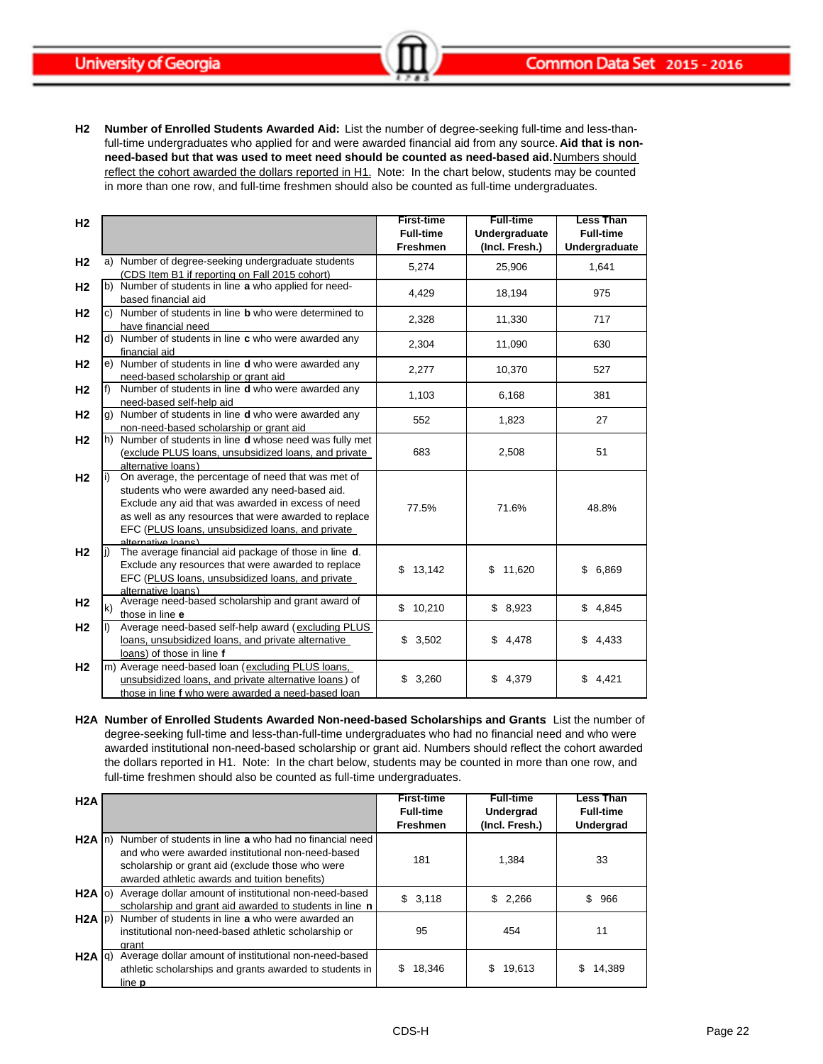**H2 Number of Enrolled Students Awarded Aid:** List the number of degree-seeking full-time and less-thanfull-time undergraduates who applied for and were awarded financial aid from any source. **Aid that is nonneed-based but that was used to meet need should be counted as need-based aid.** Numbers should reflect the cohort awarded the dollars reported in H1. Note: In the chart below, students may be counted in more than one row, and full-time freshmen should also be counted as full-time undergraduates.

| H <sub>2</sub> |                                                                                                                                                                                                                                                                                              | <b>First-time</b><br><b>Full-time</b><br><b>Freshmen</b> | <b>Full-time</b><br>Undergraduate<br>(Incl. Fresh.) | <b>Less Than</b><br><b>Full-time</b><br>Undergraduate |
|----------------|----------------------------------------------------------------------------------------------------------------------------------------------------------------------------------------------------------------------------------------------------------------------------------------------|----------------------------------------------------------|-----------------------------------------------------|-------------------------------------------------------|
| H <sub>2</sub> | Number of degree-seeking undergraduate students<br>a)<br>(CDS Item B1 if reporting on Fall 2015 cohort)                                                                                                                                                                                      | 5,274                                                    | 25,906                                              | 1,641                                                 |
| H <sub>2</sub> | b) Number of students in line a who applied for need-<br>based financial aid                                                                                                                                                                                                                 | 4,429                                                    | 18,194                                              | 975                                                   |
| H <sub>2</sub> | Number of students in line <b>b</b> who were determined to<br>C)<br>have financial need                                                                                                                                                                                                      | 2,328                                                    | 11,330                                              | 717                                                   |
| H <sub>2</sub> | d) Number of students in line c who were awarded any<br>financial aid                                                                                                                                                                                                                        | 2,304                                                    | 11,090                                              | 630                                                   |
| H <sub>2</sub> | e) Number of students in line d who were awarded any<br>need-based scholarship or grant aid                                                                                                                                                                                                  | 2,277                                                    | 10,370                                              | 527                                                   |
| H <sub>2</sub> | Number of students in line d who were awarded any<br>need-based self-help aid                                                                                                                                                                                                                | 1,103                                                    | 6,168                                               | 381                                                   |
| H <sub>2</sub> | Number of students in line d who were awarded any<br>non-need-based scholarship or grant aid                                                                                                                                                                                                 | 552                                                      | 1,823                                               | 27                                                    |
| H <sub>2</sub> | h) Number of students in line <b>d</b> whose need was fully met<br>(exclude PLUS loans, unsubsidized loans, and private<br>alternative loans)                                                                                                                                                | 683                                                      | 2,508                                               | 51                                                    |
| H <sub>2</sub> | On average, the percentage of need that was met of<br>students who were awarded any need-based aid.<br>Exclude any aid that was awarded in excess of need<br>as well as any resources that were awarded to replace<br>EFC (PLUS loans, unsubsidized loans, and private<br>alternative loans) | 77.5%                                                    | 71.6%                                               | 48.8%                                                 |
| H <sub>2</sub> | The average financial aid package of those in line d.<br>Exclude any resources that were awarded to replace<br>EFC (PLUS loans, unsubsidized loans, and private<br>alternative loans)                                                                                                        | \$13,142                                                 | \$<br>11,620                                        | \$<br>6,869                                           |
| H2             | Average need-based scholarship and grant award of<br>those in line e                                                                                                                                                                                                                         | \$10,210                                                 | \$8,923                                             | \$4,845                                               |
| H <sub>2</sub> | Average need-based self-help award (excluding PLUS<br>loans, unsubsidized loans, and private alternative<br>loans) of those in line f                                                                                                                                                        | \$3,502                                                  | \$4,478                                             | \$4,433                                               |
| H <sub>2</sub> | m) Average need-based loan (excluding PLUS loans,<br>unsubsidized loans, and private alternative loans) of<br>those in line f who were awarded a need-based loan                                                                                                                             | 3,260<br>\$                                              | \$<br>4,379                                         | \$4,421                                               |

**H2A Number of Enrolled Students Awarded Non-need-based Scholarships and Grants**: List the number of degree-seeking full-time and less-than-full-time undergraduates who had no financial need and who were awarded institutional non-need-based scholarship or grant aid. Numbers should reflect the cohort awarded the dollars reported in H1. Note: In the chart below, students may be counted in more than one row, and full-time freshmen should also be counted as full-time undergraduates.

| H2A       |                                                                                                                                                                                                                                       | <b>First-time</b><br><b>Full-time</b><br><b>Freshmen</b> | <b>Full-time</b><br>Undergrad<br>(Incl. Fresh.) | Less Than<br><b>Full-time</b><br><b>Undergrad</b> |
|-----------|---------------------------------------------------------------------------------------------------------------------------------------------------------------------------------------------------------------------------------------|----------------------------------------------------------|-------------------------------------------------|---------------------------------------------------|
|           | H <sub>2</sub> A In) Number of students in line a who had no financial need<br>and who were awarded institutional non-need-based<br>scholarship or grant aid (exclude those who were<br>awarded athletic awards and tuition benefits) | 181                                                      | 1.384                                           | 33                                                |
| $H2A$ (o) | Average dollar amount of institutional non-need-based<br>scholarship and grant aid awarded to students in line n                                                                                                                      | \$3,118                                                  | \$2,266                                         | 966<br>\$                                         |
|           | H2A p) Number of students in line a who were awarded an<br>institutional non-need-based athletic scholarship or<br>arant                                                                                                              | 95                                                       | 454                                             | 11                                                |
| $H2A$ $q$ | Average dollar amount of institutional non-need-based<br>athletic scholarships and grants awarded to students in<br>line <b>p</b>                                                                                                     | 18,346                                                   | \$<br>19,613                                    | 14,389                                            |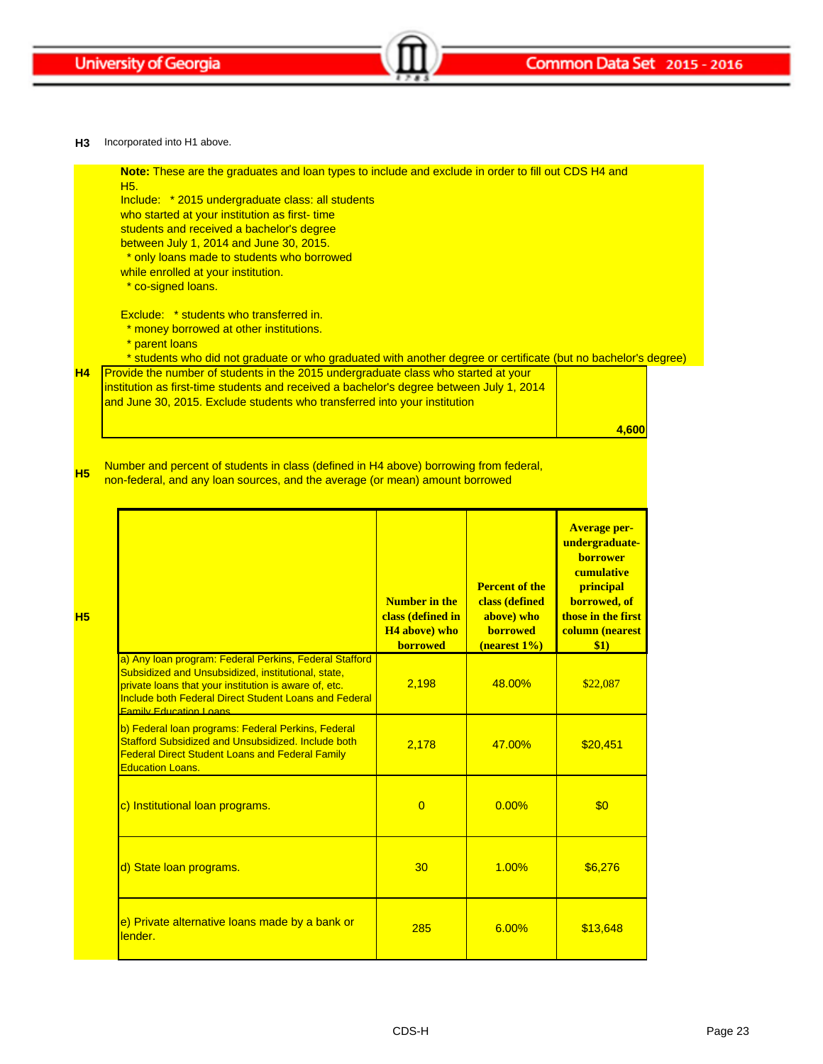

**H3** Incorporated into H1 above.

**H4**

**H5**

**H5**

| H <sub>5</sub> .<br>Include: * 2015 undergraduate class: all students<br>who started at your institution as first-time<br>students and received a bachelor's degree<br>between July 1, 2014 and June 30, 2015.<br>* only loans made to students who borrowed<br>while enrolled at your institution.<br>* co-signed loans.                                                                                                                                                                      | Note: These are the graduates and loan types to include and exclude in order to fill out CDS H4 and |                                                                                          |                                                                                                                                                      |  |
|------------------------------------------------------------------------------------------------------------------------------------------------------------------------------------------------------------------------------------------------------------------------------------------------------------------------------------------------------------------------------------------------------------------------------------------------------------------------------------------------|-----------------------------------------------------------------------------------------------------|------------------------------------------------------------------------------------------|------------------------------------------------------------------------------------------------------------------------------------------------------|--|
| Exclude: * students who transferred in.<br>* money borrowed at other institutions.<br>* parent loans<br>* students who did not graduate or who graduated with another degree or certificate (but no bachelor's degree)<br>Provide the number of students in the 2015 undergraduate class who started at your<br>institution as first-time students and received a bachelor's degree between July 1, 2014<br>and June 30, 2015. Exclude students who transferred into your institution<br>4,600 |                                                                                                     |                                                                                          |                                                                                                                                                      |  |
| Number and percent of students in class (defined in H4 above) borrowing from federal,                                                                                                                                                                                                                                                                                                                                                                                                          |                                                                                                     |                                                                                          |                                                                                                                                                      |  |
| non-federal, and any loan sources, and the average (or mean) amount borrowed                                                                                                                                                                                                                                                                                                                                                                                                                   | <b>Number in the</b><br>class (defined in<br><b>H4</b> above) who<br>borrowed                       | <b>Percent of the</b><br>class (defined<br>above) who<br><b>borrowed</b><br>(nearest 1%) | <b>Average per-</b><br>undergraduate-<br><b>borrower</b><br>cumulative<br>principal<br>borrowed, of<br>those in the first<br>column (nearest<br>\$1) |  |
| a) Any loan program: Federal Perkins, Federal Stafford<br>Subsidized and Unsubsidized, institutional, state,<br>private loans that your institution is aware of, etc.<br><b>Include both Federal Direct Student Loans and Federal</b><br><b>Family Education Loans</b>                                                                                                                                                                                                                         | 2,198                                                                                               | 48.00%                                                                                   | \$22,087                                                                                                                                             |  |

Education Loans.

Stafford Subsidized and Unsubsidized. Include both Federal Direct Student Loans and Federal Family

c) Institutional loan programs. 0 0.00% \$0

d) State loan programs. 20 1.00%  $\begin{array}{|c|c|c|c|c|c|c|c|c|} \hline \text{d} & \text{30} & \text{1.00\%} & \text{1.66,276} \hline \end{array}$ 

2,178 | 47.00% | \$20,451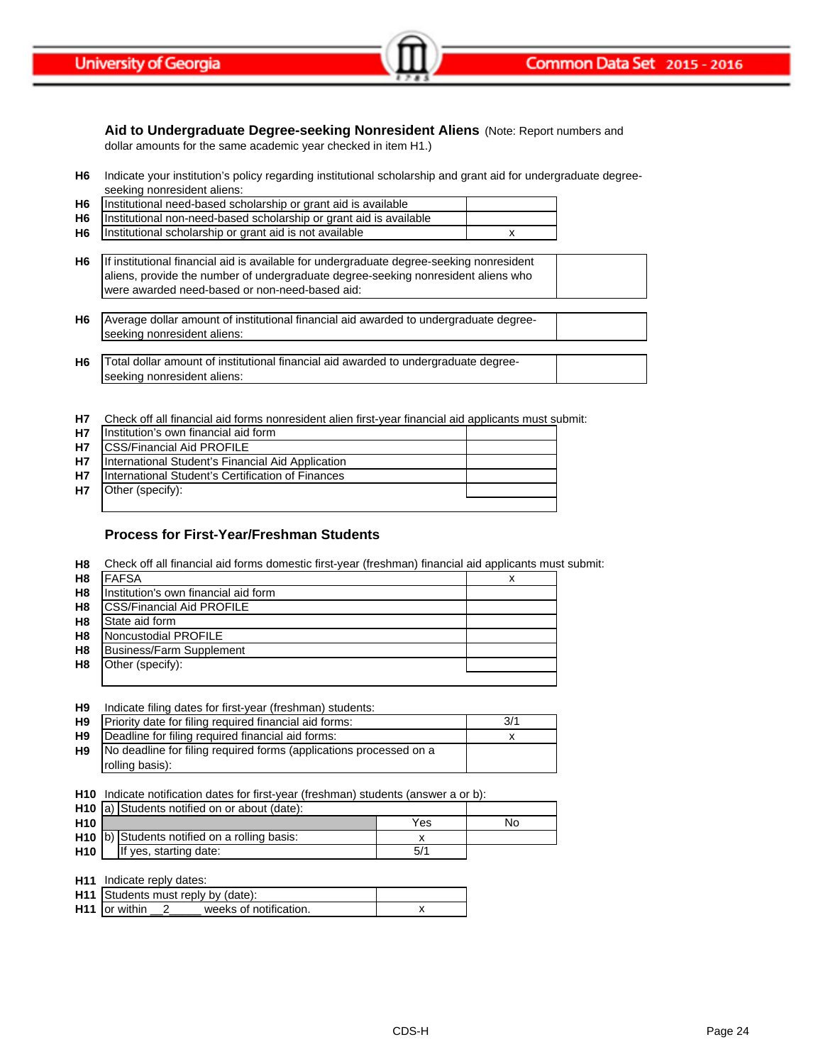Common Data Set 2015 - 2016

**University of Georgia** 

### **Aid to Undergraduate Degree-seeking Nonresident Aliens** (Note: Report numbers and

dollar amounts for the same academic year checked in item H1.)

**H6** Indicate your institution's policy regarding institutional scholarship and grant aid for undergraduate degreeseeking nonresident aliens:

| H6 Institutional need-based scholarship or grant aid is available       |  |
|-------------------------------------------------------------------------|--|
| H6   Institutional non-need-based scholarship or grant aid is available |  |
| H6 Institutional scholarship or grant aid is not available              |  |

| H6             | If institutional financial aid is available for undergraduate degree-seeking nonresident<br>aliens, provide the number of undergraduate degree-seeking nonresident aliens who<br>were awarded need-based or non-need-based aid: |  |
|----------------|---------------------------------------------------------------------------------------------------------------------------------------------------------------------------------------------------------------------------------|--|
| H <sub>6</sub> | Average dollar amount of institutional financial aid awarded to undergraduate degree-<br>seeking nonresident aliens:                                                                                                            |  |
| H <sub>6</sub> | Total dollar amount of institutional financial aid awarded to undergraduate degree-<br>seeking nonresident aliens:                                                                                                              |  |

**H7** Check off all financial aid forms nonresident alien first-year financial aid applicants must submit:

| <b>H7</b> | Institution's own financial aid form              |  |
|-----------|---------------------------------------------------|--|
| <b>H7</b> | <b>ICSS/Financial Aid PROFILE</b>                 |  |
| <b>H7</b> | International Student's Financial Aid Application |  |
| <b>H7</b> | International Student's Certification of Finances |  |
| <b>H7</b> | Other (specify):                                  |  |
|           |                                                   |  |

### **Process for First-Year/Freshman Students**

**H8** Check off all financial aid forms domestic first-year (freshman) financial aid applicants must submit:

| H <sub>8</sub> | <b>FAFSA</b>                         |  |
|----------------|--------------------------------------|--|
| H <sub>8</sub> | Institution's own financial aid form |  |
| H <sub>8</sub> | <b>ICSS/Financial Aid PROFILE</b>    |  |
| H <sub>8</sub> | State aid form                       |  |
| H <sub>8</sub> | Noncustodial PROFILE                 |  |
| H <sub>8</sub> | <b>Business/Farm Supplement</b>      |  |
| H <sub>8</sub> | Other (specify):                     |  |
|                |                                      |  |

| H <sub>9</sub> | Indicate filing dates for first-year (freshman) students:          |     |
|----------------|--------------------------------------------------------------------|-----|
| H <sub>9</sub> | Priority date for filing required financial aid forms:             | 3/1 |
| H <sub>9</sub> | Deadline for filing required financial aid forms:                  |     |
| H <sub>9</sub> | No deadline for filing required forms (applications processed on a |     |
|                | rolling basis):                                                    |     |

**H10** Indicate notification dates for first-year (freshman) students (answer a or b):

|                 | H <sub>10</sub> a) Students notified on or about (date): |     |    |
|-----------------|----------------------------------------------------------|-----|----|
| H <sub>10</sub> |                                                          | Yes | No |
|                 | H10 b) Students notified on a rolling basis:             |     |    |
| H <sub>10</sub> | If yes, starting date:                                   | 5/1 |    |

| <b>H11</b> Indicate reply dates:                    |  |
|-----------------------------------------------------|--|
| H11 Students must reply by (date):                  |  |
| H <sub>11</sub> or within<br>weeks of notification. |  |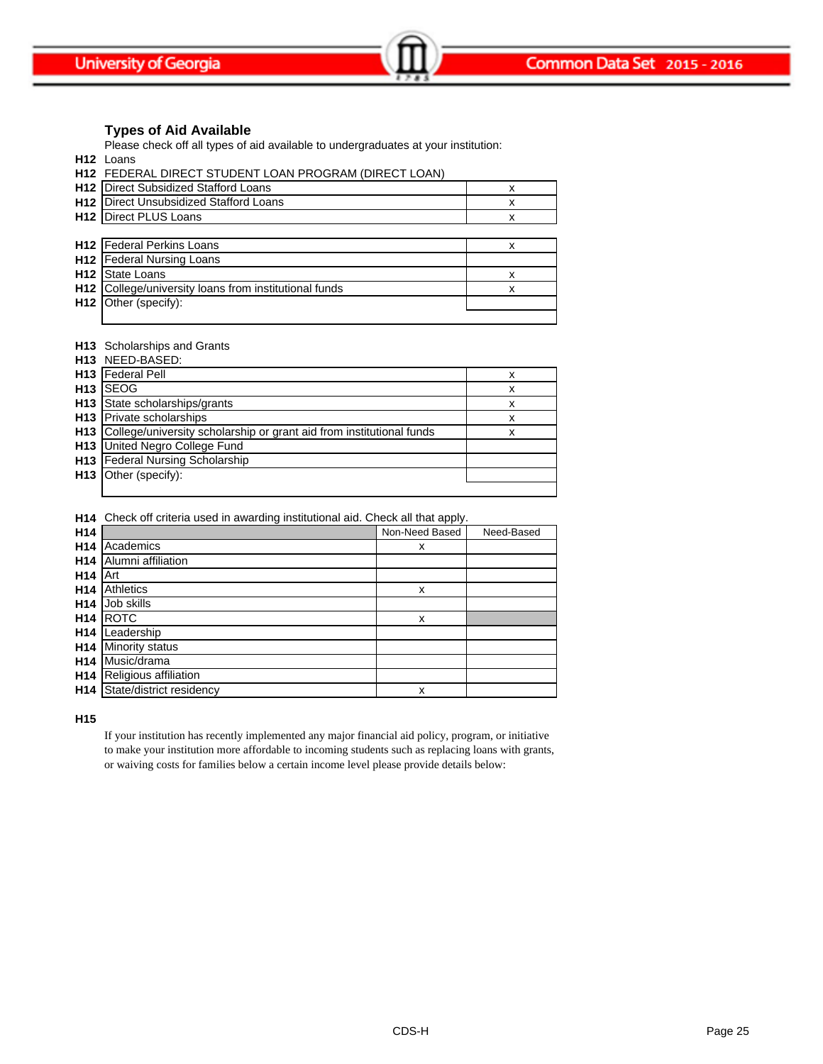### **Types of Aid Available**

Please check off all types of aid available to undergraduates at your institution:

**H12** Loans

|                 | H12 FEDERAL DIRECT STUDENT LOAN PROGRAM (DIRECT LOAN) |   |
|-----------------|-------------------------------------------------------|---|
|                 | H12 Direct Subsidized Stafford Loans                  | х |
|                 | <b>H12</b> Direct Unsubsidized Stafford Loans         | х |
|                 | <b>H12</b> Direct PLUS Loans                          | x |
|                 |                                                       |   |
|                 | H12 Federal Perkins Loans                             | x |
|                 | H12 Federal Nursing Loans                             |   |
| H <sub>12</sub> | State Loans                                           | х |
| H <sub>12</sub> | College/university loans from institutional funds     | x |
|                 | H12 Other (specify):                                  |   |
|                 |                                                       |   |

#### **H13** Scholarships and Grants

| H13 NEED-BASED:                                                          |   |
|--------------------------------------------------------------------------|---|
| H13 Federal Pell                                                         | х |
| <b>H<sub>13</sub></b> ISEOG                                              | x |
| H13 State scholarships/grants                                            | x |
| H13 Private scholarships                                                 | x |
| H13 College/university scholarship or grant aid from institutional funds | x |
| <b>H13</b> United Negro College Fund                                     |   |
| H13 Federal Nursing Scholarship                                          |   |
| <b>H13</b> Other (specify):                                              |   |
|                                                                          |   |

**H14** Check off criteria used in awarding institutional aid. Check all that apply.

| H <sub>14</sub> |                          | Non-Need Based | Need-Based |
|-----------------|--------------------------|----------------|------------|
| H <sub>14</sub> | Academics                | x              |            |
| H <sub>14</sub> | Alumni affiliation       |                |            |
| H <sub>14</sub> | Art                      |                |            |
| H <sub>14</sub> | <b>Athletics</b>         | x              |            |
| H <sub>14</sub> | Job skills               |                |            |
| H <sub>14</sub> | <b>ROTC</b>              | X              |            |
| H <sub>14</sub> | Leadership               |                |            |
| H <sub>14</sub> | Minority status          |                |            |
| H <sub>14</sub> | Music/drama              |                |            |
| H <sub>14</sub> | Religious affiliation    |                |            |
| H <sub>14</sub> | State/district residency | X              |            |

**H15**

If your institution has recently implemented any major financial aid policy, program, or initiative to make your institution more affordable to incoming students such as replacing loans with grants, or waiving costs for families below a certain income level please provide details below: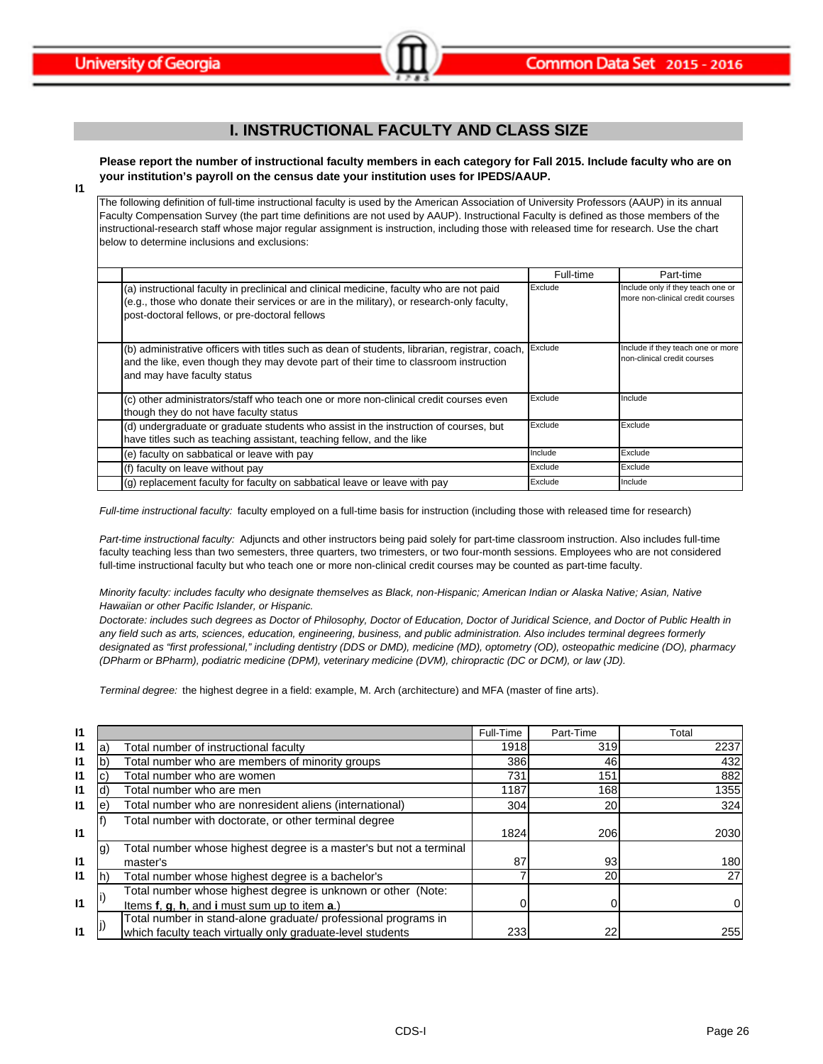# **I. INSTRUCTIONAL FACULTY AND CLASS SIZE**

**Please report the number of instructional faculty members in each category for Fall 2015. Include faculty who are on your institution's payroll on the census date your institution uses for IPEDS/AAUP.**

**I1**

The following definition of full-time instructional faculty is used by the American Association of University Professors (AAUP) in its annual Faculty Compensation Survey (the part time definitions are not used by AAUP). Instructional Faculty is defined as those members of the instructional-research staff whose major regular assignment is instruction, including those with released time for research. Use the chart below to determine inclusions and exclusions:

|                                                                                                                                                                                                                                         | Full-time | Part-time                                                             |  |  |
|-----------------------------------------------------------------------------------------------------------------------------------------------------------------------------------------------------------------------------------------|-----------|-----------------------------------------------------------------------|--|--|
| (a) instructional faculty in preclinical and clinical medicine, faculty who are not paid<br>(e.g., those who donate their services or are in the military), or research-only faculty,<br>post-doctoral fellows, or pre-doctoral fellows | Exclude   | Include only if they teach one or<br>more non-clinical credit courses |  |  |
| (b) administrative officers with titles such as dean of students, librarian, registrar, coach, Exclude<br>and the like, even though they may devote part of their time to classroom instruction<br>and may have faculty status          |           | Include if they teach one or more<br>non-clinical credit courses      |  |  |
| (c) other administrators/staff who teach one or more non-clinical credit courses even<br>though they do not have faculty status                                                                                                         | Exclude   | Include                                                               |  |  |
| (d) undergraduate or graduate students who assist in the instruction of courses, but<br>have titles such as teaching assistant, teaching fellow, and the like                                                                           | Exclude   | Exclude                                                               |  |  |
| (e) faculty on sabbatical or leave with pay                                                                                                                                                                                             | Include   | Exclude                                                               |  |  |
| (f) faculty on leave without pay                                                                                                                                                                                                        | Exclude   | Exclude                                                               |  |  |
| (g) replacement faculty for faculty on sabbatical leave or leave with pay                                                                                                                                                               | Exclude   | Include                                                               |  |  |

*Full-time instructional faculty:* faculty employed on a full-time basis for instruction (including those with released time for research)

*Part-time instructional faculty:* Adjuncts and other instructors being paid solely for part-time classroom instruction. Also includes full-time faculty teaching less than two semesters, three quarters, two trimesters, or two four-month sessions. Employees who are not considered full-time instructional faculty but who teach one or more non-clinical credit courses may be counted as part-time faculty.

*Minority faculty: includes faculty who designate themselves as Black, non-Hispanic; American Indian or Alaska Native; Asian, Native Hawaiian or other Pacific Islander, or Hispanic.* 

*Doctorate: includes such degrees as Doctor of Philosophy, Doctor of Education, Doctor of Juridical Science, and Doctor of Public Health in any field such as arts, sciences, education, engineering, business, and public administration. Also includes terminal degrees formerly designated as "first professional," including dentistry (DDS or DMD), medicine (MD), optometry (OD), osteopathic medicine (DO), pharmacy (DPharm or BPharm), podiatric medicine (DPM), veterinary medicine (DVM), chiropractic (DC or DCM), or law (JD).*

*Terminal degree:* the highest degree in a field: example, M. Arch (architecture) and MFA (master of fine arts).

| $\mathsf{I}$ |     |                                                                    | Full-Time | Part-Time | Total |
|--------------|-----|--------------------------------------------------------------------|-----------|-----------|-------|
| 11           | a   | Total number of instructional faculty                              | 1918      | 319       | 2237  |
| $\mathbf{I}$ |     | Total number who are members of minority groups                    | 386       | 46        | 432   |
| 11           |     | Total number who are women                                         | 731       | 151       | 882   |
| $\mathsf{I}$ |     | Total number who are men                                           | 1187      | 168       | 1355  |
| $\mathsf{I}$ | e   | Total number who are nonresident aliens (international)            | 304       | <b>20</b> | 324   |
|              |     | Total number with doctorate, or other terminal degree              |           |           |       |
| $\mathsf{I}$ |     |                                                                    | 1824      | 206       | 2030  |
|              | lg) | Total number whose highest degree is a master's but not a terminal |           |           |       |
| $\mathsf{I}$ |     | master's                                                           | 87        | 93        | 180   |
| $\mathsf{I}$ |     | Total number whose highest degree is a bachelor's                  |           | <b>20</b> | 27    |
|              |     | Total number whose highest degree is unknown or other (Note:       |           |           |       |
| $\mathsf{I}$ |     | Items f, g, h, and i must sum up to item a.)                       |           |           |       |
|              |     | Total number in stand-alone graduate/ professional programs in     |           |           |       |
| $\mathsf{I}$ |     | which faculty teach virtually only graduate-level students         | 233       | 22        | 255   |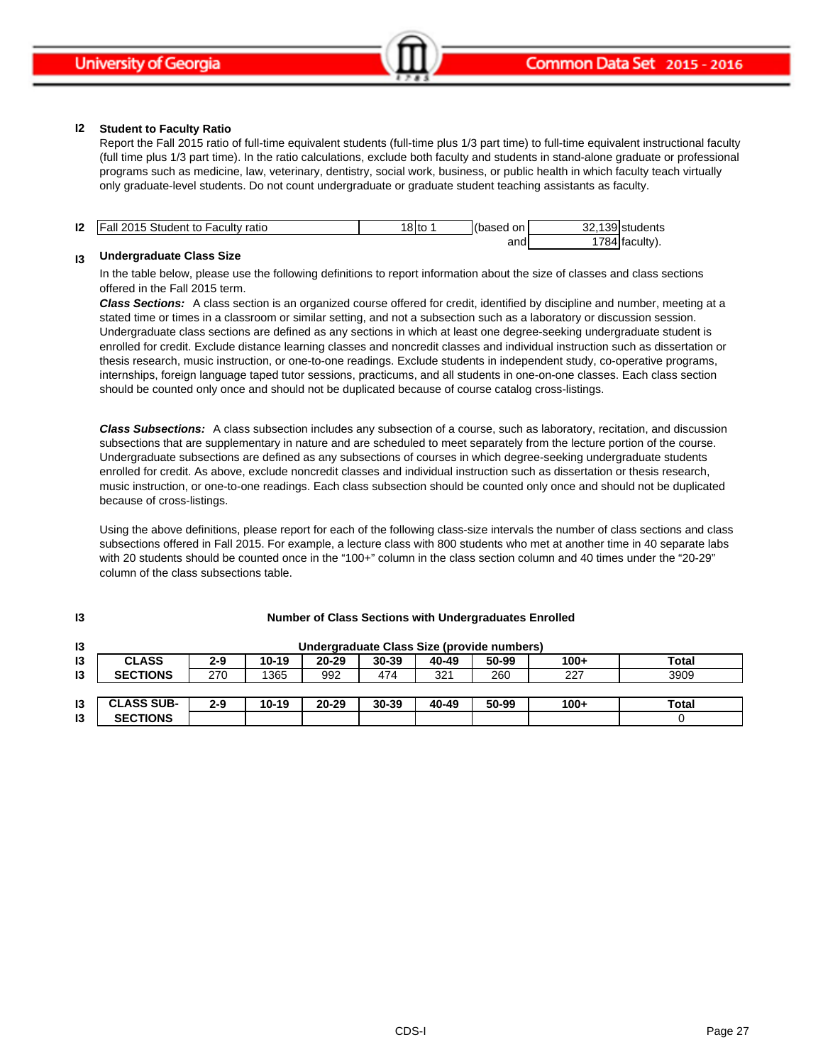#### **I2 Student to Faculty Ratio**

Report the Fall 2015 ratio of full-time equivalent students (full-time plus 1/3 part time) to full-time equivalent instructional faculty (full time plus 1/3 part time). In the ratio calculations, exclude both faculty and students in stand-alone graduate or professional programs such as medicine, law, veterinary, dentistry, social work, business, or public health in which faculty teach virtually only graduate-level students. Do not count undergraduate or graduate student teaching assistants as faculty.

| 12 | Student to<br><b>IFall 2015</b><br><b>Faculty ratio</b> | OII<br>οιισ | on<br>(based | 1001<br>$\sim$<br>students<br>ےب<br>$\cdots$ |
|----|---------------------------------------------------------|-------------|--------------|----------------------------------------------|
|    |                                                         |             | and,         | $\rightarrow$<br>facultv<br>. x/             |

#### **I3 Undergraduate Class Size**

**I3**

In the table below, please use the following definitions to report information about the size of classes and class sections offered in the Fall 2015 term.

*Class Sections:* A class section is an organized course offered for credit, identified by discipline and number, meeting at a stated time or times in a classroom or similar setting, and not a subsection such as a laboratory or discussion session. Undergraduate class sections are defined as any sections in which at least one degree-seeking undergraduate student is enrolled for credit. Exclude distance learning classes and noncredit classes and individual instruction such as dissertation or thesis research, music instruction, or one-to-one readings. Exclude students in independent study, co-operative programs, internships, foreign language taped tutor sessions, practicums, and all students in one-on-one classes. Each class section should be counted only once and should not be duplicated because of course catalog cross-listings.

*Class Subsections:* A class subsection includes any subsection of a course, such as laboratory, recitation, and discussion subsections that are supplementary in nature and are scheduled to meet separately from the lecture portion of the course. Undergraduate subsections are defined as any subsections of courses in which degree-seeking undergraduate students enrolled for credit. As above, exclude noncredit classes and individual instruction such as dissertation or thesis research, music instruction, or one-to-one readings. Each class subsection should be counted only once and should not be duplicated because of cross-listings.

Using the above definitions, please report for each of the following class-size intervals the number of class sections and class subsections offered in Fall 2015. For example, a lecture class with 800 students who met at another time in 40 separate labs with 20 students should be counted once in the "100+" column in the class section column and 40 times under the "20-29" column of the class subsections table.

| 13            | Undergraduate Class Size (provide numbers) |         |       |           |       |       |       |        |       |
|---------------|--------------------------------------------|---------|-------|-----------|-------|-------|-------|--------|-------|
| $\mathsf{I}3$ | <b>CLASS</b>                               | $2 - 9$ | 10-19 | $20 - 29$ | 30-39 | 40-49 | 50-99 | $100+$ | Total |
| $\mathsf{I}3$ | <b>SECTIONS</b>                            | 270     | 1365  | 992       | 474   | 321   | 260   | 227    | 3909  |
|               |                                            |         |       |           |       |       |       |        |       |
| $\mathsf{I}3$ | <b>CLASS SUB-</b>                          | 2-9     | 10-19 | 20-29     | 30-39 | 40-49 | 50-99 | $100+$ | Total |
| 13            | <b>SECTIONS</b>                            |         |       |           |       |       |       |        |       |

### **Number of Class Sections with Undergraduates Enrolled**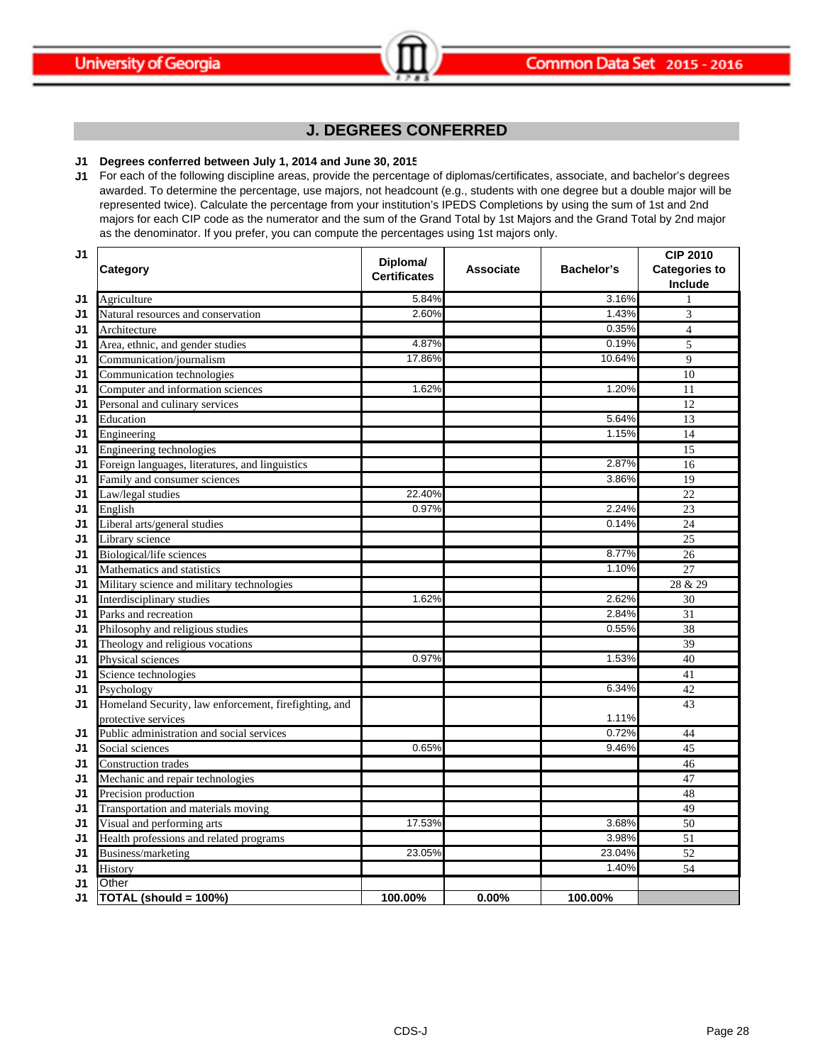# **J. DEGREES CONFERRED**

### **J1 Degrees conferred between July 1, 2014 and June 30, 2015**

**J1** For each of the following discipline areas, provide the percentage of diplomas/certificates, associate, and bachelor's degrees awarded. To determine the percentage, use majors, not headcount (e.g., students with one degree but a double major will be represented twice). Calculate the percentage from your institution's IPEDS Completions by using the sum of 1st and 2nd majors for each CIP code as the numerator and the sum of the Grand Total by 1st Majors and the Grand Total by 2nd major as the denominator. If you prefer, you can compute the percentages using 1st majors only.

| J1 | Category                                              | Diploma/<br><b>Certificates</b> | <b>Associate</b> | Bachelor's | <b>CIP 2010</b><br><b>Categories to</b><br>Include |
|----|-------------------------------------------------------|---------------------------------|------------------|------------|----------------------------------------------------|
| J1 | Agriculture                                           | 5.84%                           |                  | 3.16%      |                                                    |
| J1 | Natural resources and conservation                    | 2.60%                           |                  | 1.43%      | $\overline{3}$                                     |
| J1 | Architecture                                          |                                 |                  | 0.35%      | $\overline{4}$                                     |
| J1 | Area, ethnic, and gender studies                      | 4.87%                           |                  | 0.19%      | 5                                                  |
| J1 | Communication/journalism                              | 17.86%                          |                  | 10.64%     | $\overline{9}$                                     |
| J1 | Communication technologies                            |                                 |                  |            | 10                                                 |
| J1 | Computer and information sciences                     | 1.62%                           |                  | 1.20%      | 11                                                 |
| J1 | Personal and culinary services                        |                                 |                  |            | 12                                                 |
| J1 | Education                                             |                                 |                  | 5.64%      | 13                                                 |
| J1 | Engineering                                           |                                 |                  | 1.15%      | 14                                                 |
| J1 | Engineering technologies                              |                                 |                  |            | 15                                                 |
| J1 | Foreign languages, literatures, and linguistics       |                                 |                  | 2.87%      | $\overline{16}$                                    |
| J1 | Family and consumer sciences                          |                                 |                  | 3.86%      | 19                                                 |
| J1 | Law/legal studies                                     | 22.40%                          |                  |            | 22                                                 |
| J1 | English                                               | 0.97%                           |                  | 2.24%      | 23                                                 |
| J1 | Liberal arts/general studies                          |                                 |                  | 0.14%      | 24                                                 |
| J1 | Library science                                       |                                 |                  |            | 25                                                 |
| J1 | Biological/life sciences                              |                                 |                  | 8.77%      | 26                                                 |
| J1 | Mathematics and statistics                            |                                 |                  | 1.10%      | 27                                                 |
| J1 | Military science and military technologies            |                                 |                  |            | 28 & 29                                            |
| J1 | Interdisciplinary studies                             | 1.62%                           |                  | 2.62%      | 30                                                 |
| J1 | Parks and recreation                                  |                                 |                  | 2.84%      | 31                                                 |
| J1 | Philosophy and religious studies                      |                                 |                  | 0.55%      | 38                                                 |
| J1 | Theology and religious vocations                      |                                 |                  |            | 39                                                 |
| J1 | Physical sciences                                     | 0.97%                           |                  | 1.53%      | 40                                                 |
| J1 | Science technologies                                  |                                 |                  |            | 41                                                 |
| J1 | Psychology                                            |                                 |                  | 6.34%      | 42                                                 |
| J1 | Homeland Security, law enforcement, firefighting, and |                                 |                  |            | 43                                                 |
|    | protective services                                   |                                 |                  | 1.11%      |                                                    |
| J1 | Public administration and social services             |                                 |                  | 0.72%      | 44                                                 |
| J1 | Social sciences                                       | 0.65%                           |                  | 9.46%      | 45                                                 |
| J1 | Construction trades                                   |                                 |                  |            | 46                                                 |
| J1 | Mechanic and repair technologies                      |                                 |                  |            | 47                                                 |
| J1 | Precision production                                  |                                 |                  |            | 48                                                 |
| J1 | Transportation and materials moving                   |                                 |                  |            | 49                                                 |
| J1 | Visual and performing arts                            | 17.53%                          |                  | 3.68%      | 50                                                 |
| J1 | Health professions and related programs               |                                 |                  | 3.98%      | 51                                                 |
| J1 | Business/marketing                                    | 23.05%                          |                  | 23.04%     | 52                                                 |
| J1 | History                                               |                                 |                  | 1.40%      | 54                                                 |
| J1 | Other                                                 |                                 |                  |            |                                                    |
| J1 | TOTAL (should = 100%)                                 | 100.00%                         | $0.00\%$         | 100.00%    |                                                    |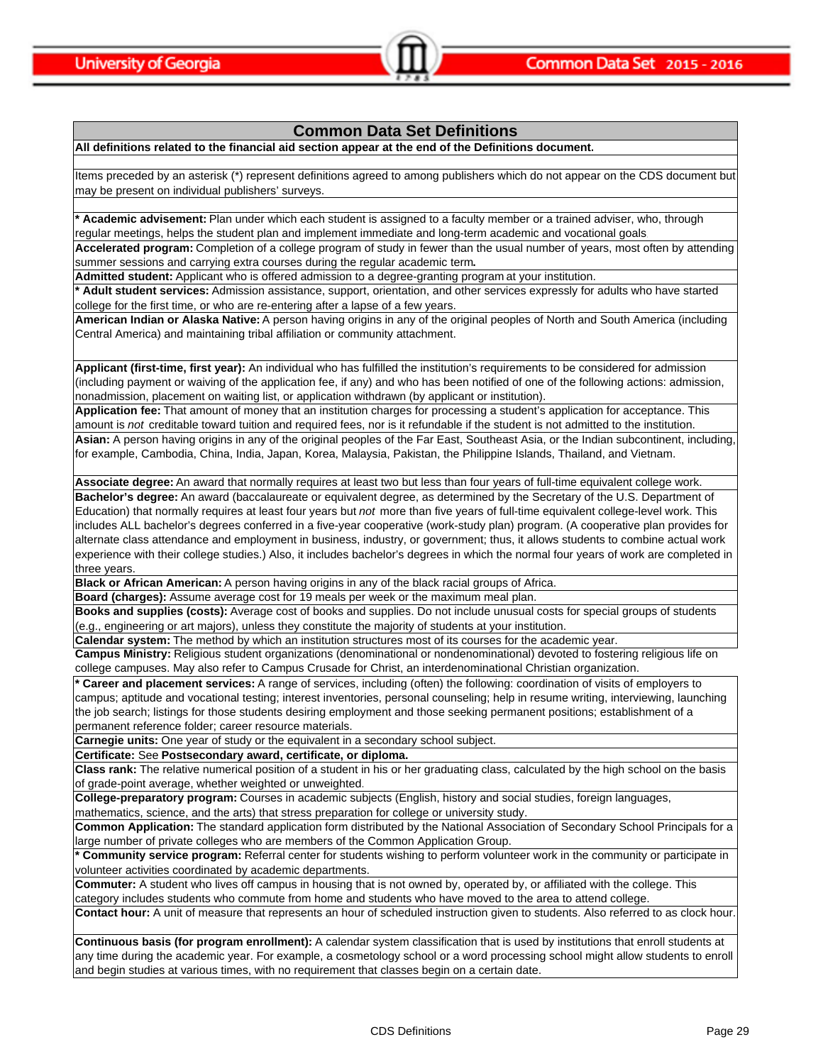## **Common Data Set Definitions**

**All definitions related to the financial aid section appear at the end of the Definitions document.**

Items preceded by an asterisk (\*) represent definitions agreed to among publishers which do not appear on the CDS document but may be present on individual publishers' surveys.

**\* Academic advisement:** Plan under which each student is assigned to a faculty member or a trained adviser, who, through regular meetings, helps the student plan and implement immediate and long-term academic and vocational goals.

**Accelerated program:** Completion of a college program of study in fewer than the usual number of years, most often by attending summer sessions and carrying extra courses during the regular academic term**.**

**Admitted student:** Applicant who is offered admission to a degree-granting program at your institution.

**\* Adult student services:** Admission assistance, support, orientation, and other services expressly for adults who have started college for the first time, or who are re-entering after a lapse of a few years.

**American Indian or Alaska Native:** A person having origins in any of the original peoples of North and South America (including Central America) and maintaining tribal affiliation or community attachment.

**Applicant (first-time, first year):** An individual who has fulfilled the institution's requirements to be considered for admission (including payment or waiving of the application fee, if any) and who has been notified of one of the following actions: admission, nonadmission, placement on waiting list, or application withdrawn (by applicant or institution).

**Application fee:** That amount of money that an institution charges for processing a student's application for acceptance. This amount is *not* creditable toward tuition and required fees, nor is it refundable if the student is not admitted to the institution. **Asian:** A person having origins in any of the original peoples of the Far East, Southeast Asia, or the Indian subcontinent, including, for example, Cambodia, China, India, Japan, Korea, Malaysia, Pakistan, the Philippine Islands, Thailand, and Vietnam.

**Associate degree:** An award that normally requires at least two but less than four years of full-time equivalent college work.

**Bachelor's degree:** An award (baccalaureate or equivalent degree, as determined by the Secretary of the U.S. Department of Education) that normally requires at least four years but *not* more than five years of full-time equivalent college-level work. This includes ALL bachelor's degrees conferred in a five-year cooperative (work-study plan) program. (A cooperative plan provides for alternate class attendance and employment in business, industry, or government; thus, it allows students to combine actual work experience with their college studies.) Also, it includes bachelor's degrees in which the normal four years of work are completed in three years.

**Black or African American:** A person having origins in any of the black racial groups of Africa.

**Board (charges):** Assume average cost for 19 meals per week or the maximum meal plan.

**Books and supplies (costs):** Average cost of books and supplies. Do not include unusual costs for special groups of students (e.g., engineering or art majors), unless they constitute the majority of students at your institution.

**Calendar system:** The method by which an institution structures most of its courses for the academic year.

**Campus Ministry:** Religious student organizations (denominational or nondenominational) devoted to fostering religious life on college campuses. May also refer to Campus Crusade for Christ, an interdenominational Christian organization.

**\* Career and placement services:** A range of services, including (often) the following: coordination of visits of employers to campus; aptitude and vocational testing; interest inventories, personal counseling; help in resume writing, interviewing, launching the job search; listings for those students desiring employment and those seeking permanent positions; establishment of a permanent reference folder; career resource materials.

**Carnegie units:** One year of study or the equivalent in a secondary school subject.

**Certificate:** See **Postsecondary award, certificate, or diploma.**

**Class rank:** The relative numerical position of a student in his or her graduating class, calculated by the high school on the basis of grade-point average, whether weighted or unweighted.

**College-preparatory program:** Courses in academic subjects (English, history and social studies, foreign languages, mathematics, science, and the arts) that stress preparation for college or university study.

**Common Application:** The standard application form distributed by the National Association of Secondary School Principals for a

large number of private colleges who are members of the Common Application Group.

**\* Community service program:** Referral center for students wishing to perform volunteer work in the community or participate in volunteer activities coordinated by academic departments.

**Commuter:** A student who lives off campus in housing that is not owned by, operated by, or affiliated with the college. This category includes students who commute from home and students who have moved to the area to attend college.

**Contact hour:** A unit of measure that represents an hour of scheduled instruction given to students. Also referred to as clock hour.

**Continuous basis (for program enrollment):** A calendar system classification that is used by institutions that enroll students at any time during the academic year. For example, a cosmetology school or a word processing school might allow students to enroll and begin studies at various times, with no requirement that classes begin on a certain date.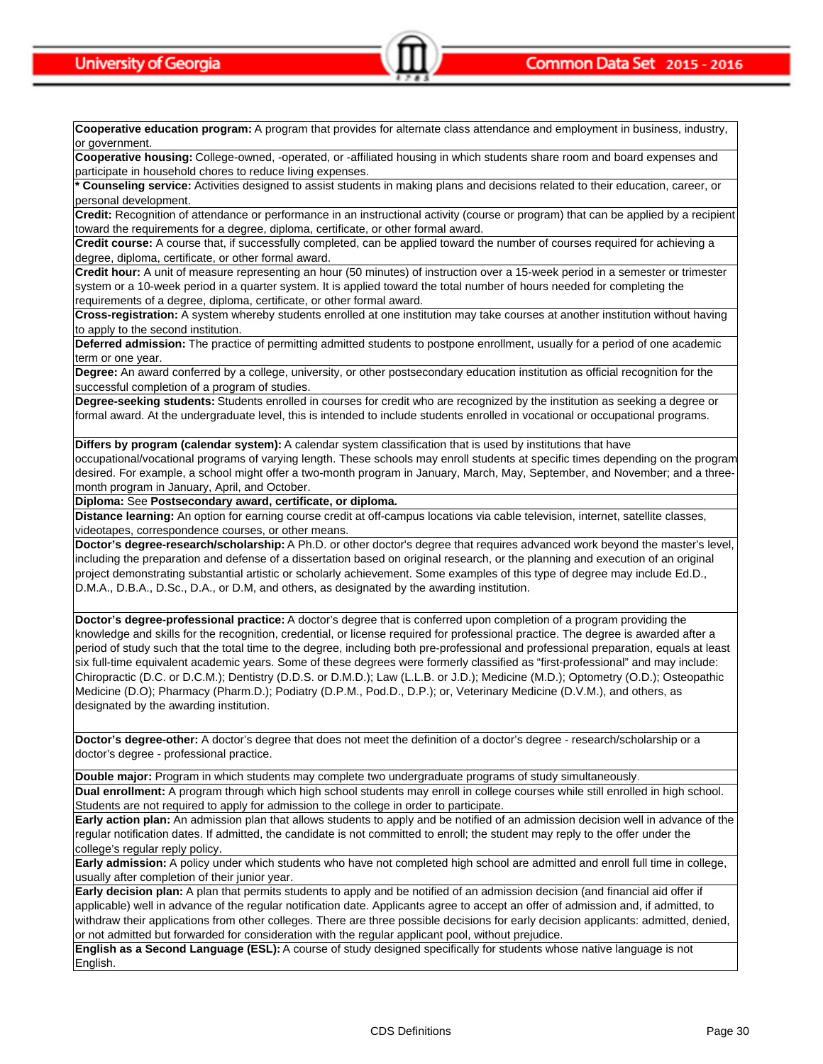**Cooperative education program:** A program that provides for alternate class attendance and employment in business, industry, or government.

**Cooperative housing:** College-owned, -operated, or -affiliated housing in which students share room and board expenses and participate in household chores to reduce living expenses.

**\* Counseling service:** Activities designed to assist students in making plans and decisions related to their education, career, or personal development.

**Credit:** Recognition of attendance or performance in an instructional activity (course or program) that can be applied by a recipient toward the requirements for a degree, diploma, certificate, or other formal award.

**Credit course:** A course that, if successfully completed, can be applied toward the number of courses required for achieving a degree, diploma, certificate, or other formal award.

**Credit hour:** A unit of measure representing an hour (50 minutes) of instruction over a 15-week period in a semester or trimester system or a 10-week period in a quarter system. It is applied toward the total number of hours needed for completing the requirements of a degree, diploma, certificate, or other formal award.

**Cross-registration:** A system whereby students enrolled at one institution may take courses at another institution without having to apply to the second institution.

**Deferred admission:** The practice of permitting admitted students to postpone enrollment, usually for a period of one academic term or one year.

**Degree:** An award conferred by a college, university, or other postsecondary education institution as official recognition for the successful completion of a program of studies.

**Degree-seeking students:** Students enrolled in courses for credit who are recognized by the institution as seeking a degree or formal award. At the undergraduate level, this is intended to include students enrolled in vocational or occupational programs.

**Differs by program (calendar system):** A calendar system classification that is used by institutions that have

occupational/vocational programs of varying length. These schools may enroll students at specific times depending on the program desired. For example, a school might offer a two-month program in January, March, May, September, and November; and a threemonth program in January, April, and October.

**Diploma:** See **Postsecondary award, certificate, or diploma.**

**Distance learning:** An option for earning course credit at off-campus locations via cable television, internet, satellite classes, videotapes, correspondence courses, or other means.

**Doctor's degree-research/scholarship:** A Ph.D. or other doctor's degree that requires advanced work beyond the master's level, including the preparation and defense of a dissertation based on original research, or the planning and execution of an original project demonstrating substantial artistic or scholarly achievement. Some examples of this type of degree may include Ed.D., D.M.A., D.B.A., D.Sc., D.A., or D.M, and others, as designated by the awarding institution.

**Doctor's degree-professional practice:** A doctor's degree that is conferred upon completion of a program providing the knowledge and skills for the recognition, credential, or license required for professional practice. The degree is awarded after a period of study such that the total time to the degree, including both pre-professional and professional preparation, equals at least six full-time equivalent academic years. Some of these degrees were formerly classified as "first-professional" and may include: Chiropractic (D.C. or D.C.M.); Dentistry (D.D.S. or D.M.D.); Law (L.L.B. or J.D.); Medicine (M.D.); Optometry (O.D.); Osteopathic Medicine (D.O); Pharmacy (Pharm.D.); Podiatry (D.P.M., Pod.D., D.P.); or, Veterinary Medicine (D.V.M.), and others, as designated by the awarding institution.

**Doctor's degree-other:** A doctor's degree that does not meet the definition of a doctor's degree - research/scholarship or a doctor's degree - professional practice.

**Double major:** Program in which students may complete two undergraduate programs of study simultaneously.

**Dual enrollment:** A program through which high school students may enroll in college courses while still enrolled in high school. Students are not required to apply for admission to the college in order to participate.

**Early action plan:** An admission plan that allows students to apply and be notified of an admission decision well in advance of the regular notification dates. If admitted, the candidate is not committed to enroll; the student may reply to the offer under the college's regular reply policy.

**Early admission:** A policy under which students who have not completed high school are admitted and enroll full time in college, usually after completion of their junior year.

**Early decision plan:** A plan that permits students to apply and be notified of an admission decision (and financial aid offer if applicable) well in advance of the regular notification date. Applicants agree to accept an offer of admission and, if admitted, to withdraw their applications from other colleges. There are three possible decisions for early decision applicants: admitted, denied, or not admitted but forwarded for consideration with the regular applicant pool, without prejudice.

**English as a Second Language (ESL):** A course of study designed specifically for students whose native language is not English.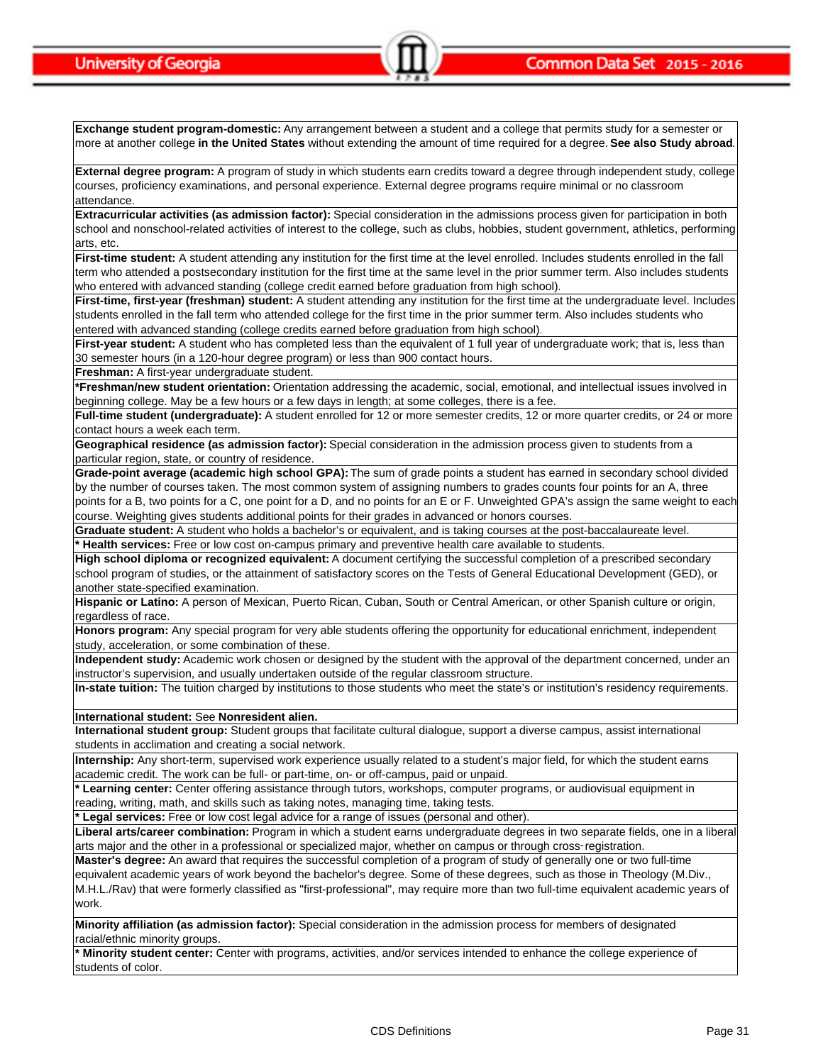**Exchange student program-domestic:** Any arrangement between a student and a college that permits study for a semester or more at another college **in the United States** without extending the amount of time required for a degree. **See also Study abroad**.

**External degree program:** A program of study in which students earn credits toward a degree through independent study, college courses, proficiency examinations, and personal experience. External degree programs require minimal or no classroom attendance.

**Extracurricular activities (as admission factor):** Special consideration in the admissions process given for participation in both school and nonschool-related activities of interest to the college, such as clubs, hobbies, student government, athletics, performing arts, etc.

**First-time student:** A student attending any institution for the first time at the level enrolled. Includes students enrolled in the fall term who attended a postsecondary institution for the first time at the same level in the prior summer term. Also includes students who entered with advanced standing (college credit earned before graduation from high school).

**First-time, first-year (freshman) student:** A student attending any institution for the first time at the undergraduate level. Includes students enrolled in the fall term who attended college for the first time in the prior summer term. Also includes students who entered with advanced standing (college credits earned before graduation from high school).

**First-year student:** A student who has completed less than the equivalent of 1 full year of undergraduate work; that is, less than 30 semester hours (in a 120-hour degree program) or less than 900 contact hours.

**Freshman:** A first-year undergraduate student.

**\*Freshman/new student orientation:** Orientation addressing the academic, social, emotional, and intellectual issues involved in beginning college. May be a few hours or a few days in length; at some colleges, there is a fee.

Full-time student (undergraduate): A student enrolled for 12 or more semester credits, 12 or more quarter credits, or 24 or more contact hours a week each term.

**Geographical residence (as admission factor):** Special consideration in the admission process given to students from a particular region, state, or country of residence.

**Grade-point average (academic high school GPA):** The sum of grade points a student has earned in secondary school divided by the number of courses taken. The most common system of assigning numbers to grades counts four points for an A, three points for a B, two points for a C, one point for a D, and no points for an E or F. Unweighted GPA's assign the same weight to each course. Weighting gives students additional points for their grades in advanced or honors courses.

**Graduate student:** A student who holds a bachelor's or equivalent, and is taking courses at the post-baccalaureate level. **\* Health services:** Free or low cost on-campus primary and preventive health care available to students.

**High school diploma or recognized equivalent:** A document certifying the successful completion of a prescribed secondary school program of studies, or the attainment of satisfactory scores on the Tests of General Educational Development (GED), or another state-specified examination.

**Hispanic or Latino:** A person of Mexican, Puerto Rican, Cuban, South or Central American, or other Spanish culture or origin, regardless of race.

**Honors program:** Any special program for very able students offering the opportunity for educational enrichment, independent study, acceleration, or some combination of these.

**Independent study:** Academic work chosen or designed by the student with the approval of the department concerned, under an instructor's supervision, and usually undertaken outside of the regular classroom structure.

**In-state tuition:** The tuition charged by institutions to those students who meet the state's or institution's residency requirements.

**International student:** See **Nonresident alien.**

**International student group:** Student groups that facilitate cultural dialogue, support a diverse campus, assist international students in acclimation and creating a social network.

**Internship:** Any short-term, supervised work experience usually related to a student's major field, for which the student earns academic credit. The work can be full- or part-time, on- or off-campus, paid or unpaid.

**\* Learning center:** Center offering assistance through tutors, workshops, computer programs, or audiovisual equipment in reading, writing, math, and skills such as taking notes, managing time, taking tests.

**\* Legal services:** Free or low cost legal advice for a range of issues (personal and other).

**Liberal arts/career combination:** Program in which a student earns undergraduate degrees in two separate fields, one in a liberal arts major and the other in a professional or specialized major, whether on campus or through cross-registration.

**Master's degree:** An award that requires the successful completion of a program of study of generally one or two full-time equivalent academic years of work beyond the bachelor's degree. Some of these degrees, such as those in Theology (M.Div., M.H.L./Rav) that were formerly classified as "first-professional", may require more than two full-time equivalent academic years of work.

**Minority affiliation (as admission factor):** Special consideration in the admission process for members of designated racial/ethnic minority groups.

**\* Minority student center:** Center with programs, activities, and/or services intended to enhance the college experience of students of color.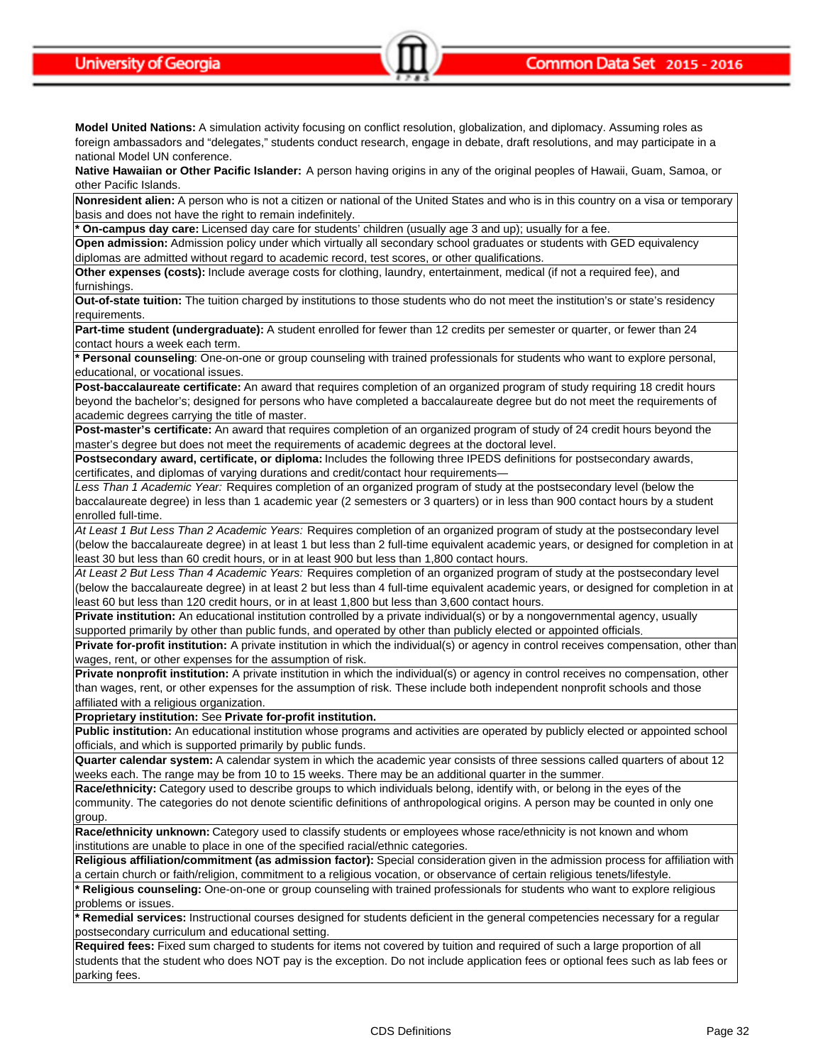**Model United Nations:** A simulation activity focusing on conflict resolution, globalization, and diplomacy. Assuming roles as foreign ambassadors and "delegates," students conduct research, engage in debate, draft resolutions, and may participate in a national Model UN conference.

**Native Hawaiian or Other Pacific Islander:** A person having origins in any of the original peoples of Hawaii, Guam, Samoa, or other Pacific Islands.

**Nonresident alien:** A person who is not a citizen or national of the United States and who is in this country on a visa or temporary basis and does not have the right to remain indefinitely.

**\* On-campus day care:** Licensed day care for students' children (usually age 3 and up); usually for a fee.

**Open admission:** Admission policy under which virtually all secondary school graduates or students with GED equivalency diplomas are admitted without regard to academic record, test scores, or other qualifications.

**Other expenses (costs):** Include average costs for clothing, laundry, entertainment, medical (if not a required fee), and furnishings.

**Out-of-state tuition:** The tuition charged by institutions to those students who do not meet the institution's or state's residency requirements.

**Part-time student (undergraduate):** A student enrolled for fewer than 12 credits per semester or quarter, or fewer than 24 contact hours a week each term.

**\* Personal counseling**: One-on-one or group counseling with trained professionals for students who want to explore personal, educational, or vocational issues.

**Post-baccalaureate certificate:** An award that requires completion of an organized program of study requiring 18 credit hours beyond the bachelor's; designed for persons who have completed a baccalaureate degree but do not meet the requirements of academic degrees carrying the title of master.

**Post-master's certificate:** An award that requires completion of an organized program of study of 24 credit hours beyond the master's degree but does not meet the requirements of academic degrees at the doctoral level.

**Postsecondary award, certificate, or diploma:** Includes the following three IPEDS definitions for postsecondary awards, certificates, and diplomas of varying durations and credit/contact hour requirements—

*Less Than 1 Academic Year:* Requires completion of an organized program of study at the postsecondary level (below the baccalaureate degree) in less than 1 academic year (2 semesters or 3 quarters) or in less than 900 contact hours by a student enrolled full-time.

*At Least 1 But Less Than 2 Academic Years:* Requires completion of an organized program of study at the postsecondary level (below the baccalaureate degree) in at least 1 but less than 2 full-time equivalent academic years, or designed for completion in at least 30 but less than 60 credit hours, or in at least 900 but less than 1,800 contact hours.

*At Least 2 But Less Than 4 Academic Years:* Requires completion of an organized program of study at the postsecondary level (below the baccalaureate degree) in at least 2 but less than 4 full-time equivalent academic years, or designed for completion in at least 60 but less than 120 credit hours, or in at least 1,800 but less than 3,600 contact hours.

**Private institution:** An educational institution controlled by a private individual(s) or by a nongovernmental agency, usually supported primarily by other than public funds, and operated by other than publicly elected or appointed officials.

**Private for-profit institution:** A private institution in which the individual(s) or agency in control receives compensation, other than wages, rent, or other expenses for the assumption of risk.

**Private nonprofit institution:** A private institution in which the individual(s) or agency in control receives no compensation, other than wages, rent, or other expenses for the assumption of risk. These include both independent nonprofit schools and those affiliated with a religious organization.

**Proprietary institution:** See **Private for-profit institution.**

**Public institution:** An educational institution whose programs and activities are operated by publicly elected or appointed school officials, and which is supported primarily by public funds.

**Quarter calendar system:** A calendar system in which the academic year consists of three sessions called quarters of about 12 weeks each. The range may be from 10 to 15 weeks. There may be an additional quarter in the summer.

**Race/ethnicity:** Category used to describe groups to which individuals belong, identify with, or belong in the eyes of the community. The categories do not denote scientific definitions of anthropological origins. A person may be counted in only one group.

**Race/ethnicity unknown:** Category used to classify students or employees whose race/ethnicity is not known and whom institutions are unable to place in one of the specified racial/ethnic categories.

**Religious affiliation/commitment (as admission factor):** Special consideration given in the admission process for affiliation with a certain church or faith/religion, commitment to a religious vocation, or observance of certain religious tenets/lifestyle.

**\* Religious counseling:** One-on-one or group counseling with trained professionals for students who want to explore religious problems or issues.

**\* Remedial services:** Instructional courses designed for students deficient in the general competencies necessary for a regular postsecondary curriculum and educational setting.

**Required fees:** Fixed sum charged to students for items not covered by tuition and required of such a large proportion of all students that the student who does NOT pay is the exception. Do not include application fees or optional fees such as lab fees or parking fees.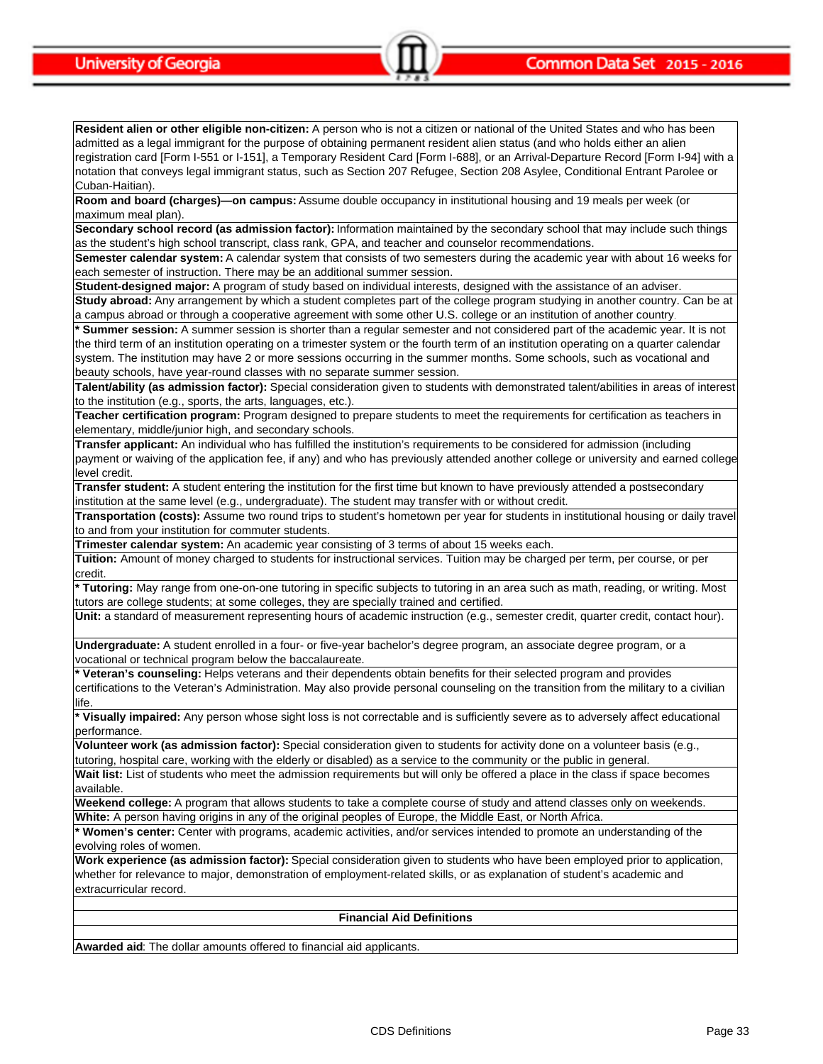**Resident alien or other eligible non-citizen:** A person who is not a citizen or national of the United States and who has been admitted as a legal immigrant for the purpose of obtaining permanent resident alien status (and who holds either an alien registration card [Form I-551 or I-151], a Temporary Resident Card [Form I-688], or an Arrival-Departure Record [Form I-94] with a notation that conveys legal immigrant status, such as Section 207 Refugee, Section 208 Asylee, Conditional Entrant Parolee or Cuban-Haitian).

**Room and board (charges)—on campus:** Assume double occupancy in institutional housing and 19 meals per week (or maximum meal plan).

**Secondary school record (as admission factor):** Information maintained by the secondary school that may include such things as the student's high school transcript, class rank, GPA, and teacher and counselor recommendations.

**Semester calendar system:** A calendar system that consists of two semesters during the academic year with about 16 weeks for each semester of instruction. There may be an additional summer session.

**Student-designed major:** A program of study based on individual interests, designed with the assistance of an adviser.

**Study abroad:** Any arrangement by which a student completes part of the college program studying in another country. Can be at a campus abroad or through a cooperative agreement with some other U.S. college or an institution of another country.

**\* Summer session:** A summer session is shorter than a regular semester and not considered part of the academic year. It is not the third term of an institution operating on a trimester system or the fourth term of an institution operating on a quarter calendar system. The institution may have 2 or more sessions occurring in the summer months. Some schools, such as vocational and beauty schools, have year-round classes with no separate summer session.

**Talent/ability (as admission factor):** Special consideration given to students with demonstrated talent/abilities in areas of interest to the institution (e.g., sports, the arts, languages, etc.).

**Teacher certification program:** Program designed to prepare students to meet the requirements for certification as teachers in elementary, middle/junior high, and secondary schools.

**Transfer applicant:** An individual who has fulfilled the institution's requirements to be considered for admission (including payment or waiving of the application fee, if any) and who has previously attended another college or university and earned college level credit.

**Transfer student:** A student entering the institution for the first time but known to have previously attended a postsecondary institution at the same level (e.g., undergraduate). The student may transfer with or without credit.

**Transportation (costs):** Assume two round trips to student's hometown per year for students in institutional housing or daily travel to and from your institution for commuter students.

**Trimester calendar system:** An academic year consisting of 3 terms of about 15 weeks each.

**Tuition:** Amount of money charged to students for instructional services. Tuition may be charged per term, per course, or per credit.

**\* Tutoring:** May range from one-on-one tutoring in specific subjects to tutoring in an area such as math, reading, or writing. Most tutors are college students; at some colleges, they are specially trained and certified.

**Unit:** a standard of measurement representing hours of academic instruction (e.g., semester credit, quarter credit, contact hour).

**Undergraduate:** A student enrolled in a four- or five-year bachelor's degree program, an associate degree program, or a vocational or technical program below the baccalaureate.

**\* Veteran's counseling:** Helps veterans and their dependents obtain benefits for their selected program and provides certifications to the Veteran's Administration. May also provide personal counseling on the transition from the military to a civilian life.

**\* Visually impaired:** Any person whose sight loss is not correctable and is sufficiently severe as to adversely affect educational performance.

**Volunteer work (as admission factor):** Special consideration given to students for activity done on a volunteer basis (e.g., tutoring, hospital care, working with the elderly or disabled) as a service to the community or the public in general.

Wait list: List of students who meet the admission requirements but will only be offered a place in the class if space becomes available.

**Weekend college:** A program that allows students to take a complete course of study and attend classes only on weekends. **White:** A person having origins in any of the original peoples of Europe, the Middle East, or North Africa.

**\* Women's center:** Center with programs, academic activities, and/or services intended to promote an understanding of the evolving roles of women.

**Work experience (as admission factor):** Special consideration given to students who have been employed prior to application, whether for relevance to major, demonstration of employment-related skills, or as explanation of student's academic and extracurricular record.

#### **Financial Aid Definitions**

**Awarded aid**: The dollar amounts offered to financial aid applicants.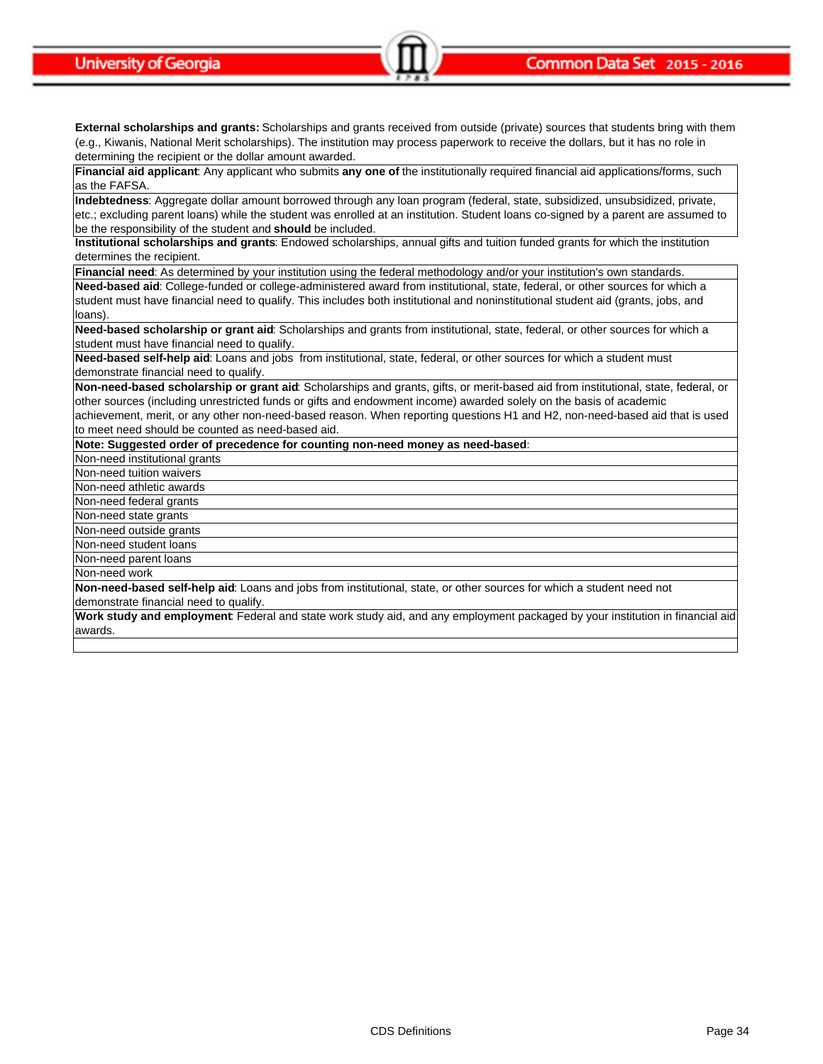**External scholarships and grants:** Scholarships and grants received from outside (private) sources that students bring with them (e.g., Kiwanis, National Merit scholarships). The institution may process paperwork to receive the dollars, but it has no role in determining the recipient or the dollar amount awarded.

**Financial aid applicant**: Any applicant who submits **any one of** the institutionally required financial aid applications/forms, such as the FAFSA.

**Indebtedness**: Aggregate dollar amount borrowed through any loan program (federal, state, subsidized, unsubsidized, private, etc.; excluding parent loans) while the student was enrolled at an institution. Student loans co-signed by a parent are assumed to be the responsibility of the student and **should** be included.

**Institutional scholarships and grants**: Endowed scholarships, annual gifts and tuition funded grants for which the institution determines the recipient.

**Financial need**: As determined by your institution using the federal methodology and/or your institution's own standards.

**Need-based aid**: College-funded or college-administered award from institutional, state, federal, or other sources for which a student must have financial need to qualify. This includes both institutional and noninstitutional student aid (grants, jobs, and loans)

**Need-based scholarship or grant aid**: Scholarships and grants from institutional, state, federal, or other sources for which a student must have financial need to qualify.

**Need-based self-help aid**: Loans and jobs from institutional, state, federal, or other sources for which a student must demonstrate financial need to qualify.

**Non-need-based scholarship or grant aid**: Scholarships and grants, gifts, or merit-based aid from institutional, state, federal, or other sources (including unrestricted funds or gifts and endowment income) awarded solely on the basis of academic achievement, merit, or any other non-need-based reason. When reporting questions H1 and H2, non-need-based aid that is used to meet need should be counted as need-based aid.

**Note: Suggested order of precedence for counting non-need money as need-based:**

Non-need institutional grants

Non-need tuition waivers

Non-need athletic awards

Non-need federal grants Non-need state grants

Non-need outside grants

Non-need student loans

Non-need parent loans

Non-need work

**Non-need-based self-help aid**: Loans and jobs from institutional, state, or other sources for which a student need not

demonstrate financial need to qualify.

**Work study and employment**: Federal and state work study aid, and any employment packaged by your institution in financial aid awards.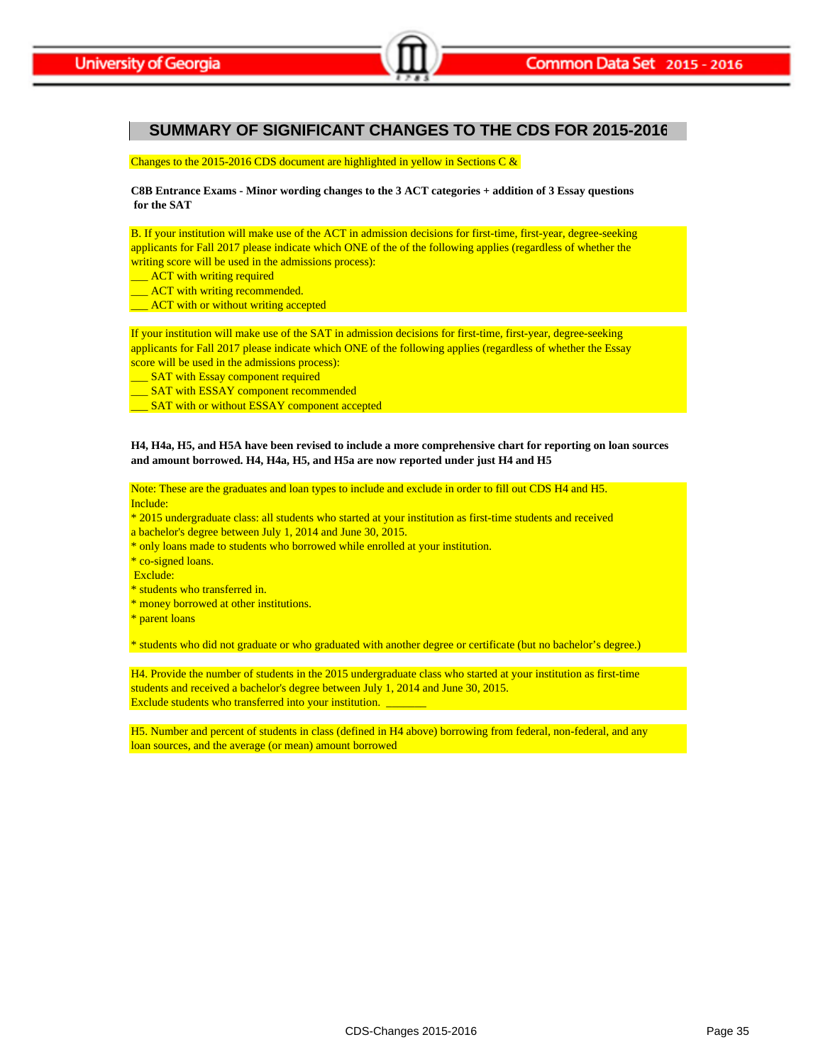# **SUMMARY OF SIGNIFICANT CHANGES TO THE CDS FOR 2015-2016**

Changes to the 2015-2016 CDS document are highlighted in yellow in Sections C &

**C8B Entrance Exams - Minor wording changes to the 3 ACT categories + addition of 3 Essay questions for the SAT**

applicants for Fall 2017 please indicate which ONE of the of the following applies (regardless of whether the B. If your institution will make use of the ACT in admission decisions for first-time, first-year, degree-seeking writing score will be used in the admissions process):

- **\_\_** ACT with writing required
- **EXCOUTACT** with writing recommended.
- \_\_\_ ACT with or without writing accepted

If your institution will make use of the SAT in admission decisions for first-time, first-year, degree-seeking applicants for Fall 2017 please indicate which ONE of the following applies (regardless of whether the Essay score will be used in the admissions process):

- **EXAT with Essay component required**
- **\_\_ SAT with ESSAY component recommended**
- \_\_ SAT with or without ESSAY component accepted

#### **H4, H4a, H5, and H5A have been revised to include a more comprehensive chart for reporting on loan sources and amount borrowed. H4, H4a, H5, and H5a are now reported under just H4 and H5**

Include: Note: These are the graduates and loan types to include and exclude in order to fill out CDS H4 and H5.

- \* 2015 undergraduate class: all students who started at your institution as first-time students and received
- a bachelor's degree between July 1, 2014 and June 30, 2015.
- \* only loans made to students who borrowed while enrolled at your institution.

\* co-signed loans.

- Exclude:
- \* students who transferred in.
- \* money borrowed at other institutions.
- \* parent loans

\* students who did not graduate or who graduated with another degree or certificate (but no bachelor's degree.)

H4. Provide the number of students in the 2015 undergraduate class who started at your institution as first-time students and received a bachelor's degree between July 1, 2014 and June 30, 2015. Exclude students who transferred into your institution.

loan sources, and the average (or mean) amount borrowed H5. Number and percent of students in class (defined in H4 above) borrowing from federal, non-federal, and any